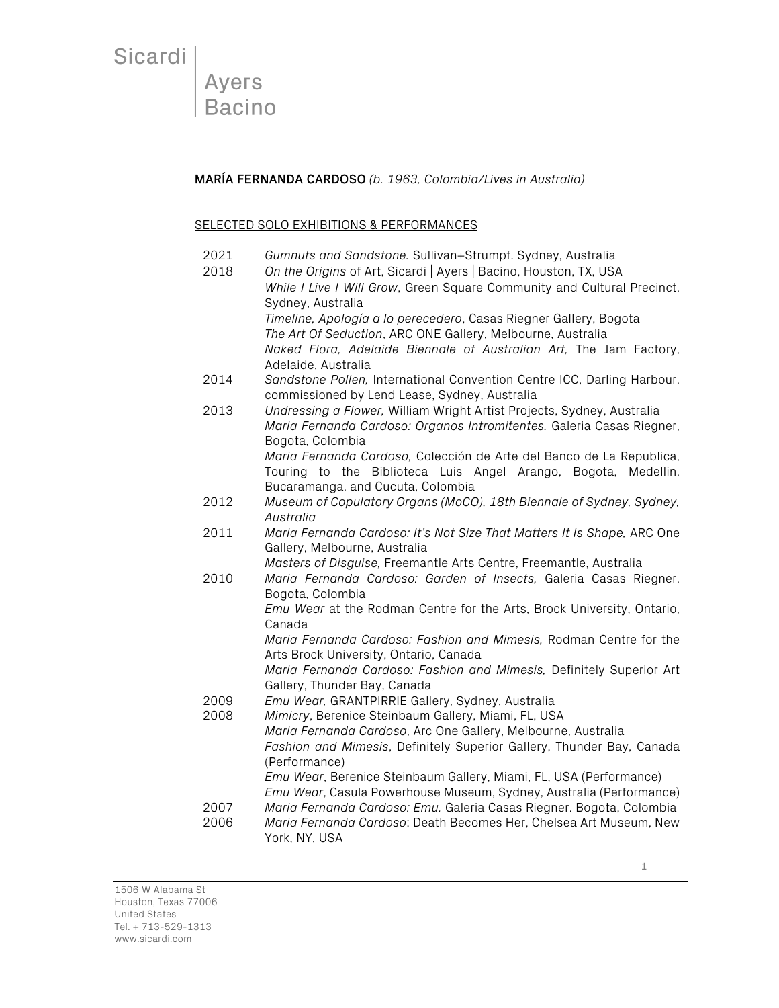Ayers<br>Bacino

MARÍA FERNANDA CARDOSO *(b. 1963, Colombia/Lives in Australia)*

#### SELECTED SOLO EXHIBITIONS & PERFORMANCES

| 2021<br>2018 | Gumnuts and Sandstone. Sullivan+Strumpf. Sydney, Australia<br>On the Origins of Art, Sicardi   Ayers   Bacino, Houston, TX, USA<br>While I Live I Will Grow, Green Square Community and Cultural Precinct,<br>Sydney, Australia |  |  |
|--------------|---------------------------------------------------------------------------------------------------------------------------------------------------------------------------------------------------------------------------------|--|--|
|              | Timeline, Apología a lo perecedero, Casas Riegner Gallery, Bogota<br>The Art Of Seduction, ARC ONE Gallery, Melbourne, Australia<br>Naked Flora, Adelaide Biennale of Australian Art, The Jam Factory,<br>Adelaide, Australia   |  |  |
| 2014         | Sandstone Pollen, International Convention Centre ICC, Darling Harbour,<br>commissioned by Lend Lease, Sydney, Australia                                                                                                        |  |  |
| 2013         | Undressing a Flower, William Wright Artist Projects, Sydney, Australia<br>Maria Fernanda Cardoso: Organos Intromitentes. Galeria Casas Riegner,<br>Bogota, Colombia                                                             |  |  |
|              | Maria Fernanda Cardoso, Colección de Arte del Banco de La Republica,<br>Touring to the Biblioteca Luis Angel Arango, Bogota, Medellin,<br>Bucaramanga, and Cucuta, Colombia                                                     |  |  |
| 2012         | Museum of Copulatory Organs (MoCO), 18th Biennale of Sydney, Sydney,<br>Australia                                                                                                                                               |  |  |
| 2011         | Maria Fernanda Cardoso: It's Not Size That Matters It Is Shape, ARC One<br>Gallery, Melbourne, Australia                                                                                                                        |  |  |
| 2010         | Masters of Disguise, Freemantle Arts Centre, Freemantle, Australia<br>Maria Fernanda Cardoso: Garden of Insects, Galeria Casas Riegner,<br>Bogota, Colombia                                                                     |  |  |
|              | Emu Wear at the Rodman Centre for the Arts, Brock University, Ontario,<br>Canada                                                                                                                                                |  |  |
|              | Maria Fernanda Cardoso: Fashion and Mimesis, Rodman Centre for the<br>Arts Brock University, Ontario, Canada                                                                                                                    |  |  |
|              | Maria Fernanda Cardoso: Fashion and Mimesis, Definitely Superior Art<br>Gallery, Thunder Bay, Canada                                                                                                                            |  |  |
| 2009         | Emu Wear, GRANTPIRRIE Gallery, Sydney, Australia                                                                                                                                                                                |  |  |
| 2008         | Mimicry, Berenice Steinbaum Gallery, Miami, FL, USA<br>Maria Fernanda Cardoso, Arc One Gallery, Melbourne, Australia                                                                                                            |  |  |
|              | Fashion and Mimesis, Definitely Superior Gallery, Thunder Bay, Canada                                                                                                                                                           |  |  |
|              | (Performance)<br>Emu Wear, Berenice Steinbaum Gallery, Miami, FL, USA (Performance)                                                                                                                                             |  |  |
|              | Emu Wear, Casula Powerhouse Museum, Sydney, Australia (Performance)                                                                                                                                                             |  |  |
| 2007<br>2006 | Maria Fernanda Cardoso: Emu. Galeria Casas Riegner. Bogota, Colombia<br>Maria Fernanda Cardoso: Death Becomes Her, Chelsea Art Museum, New<br>York, NY, USA                                                                     |  |  |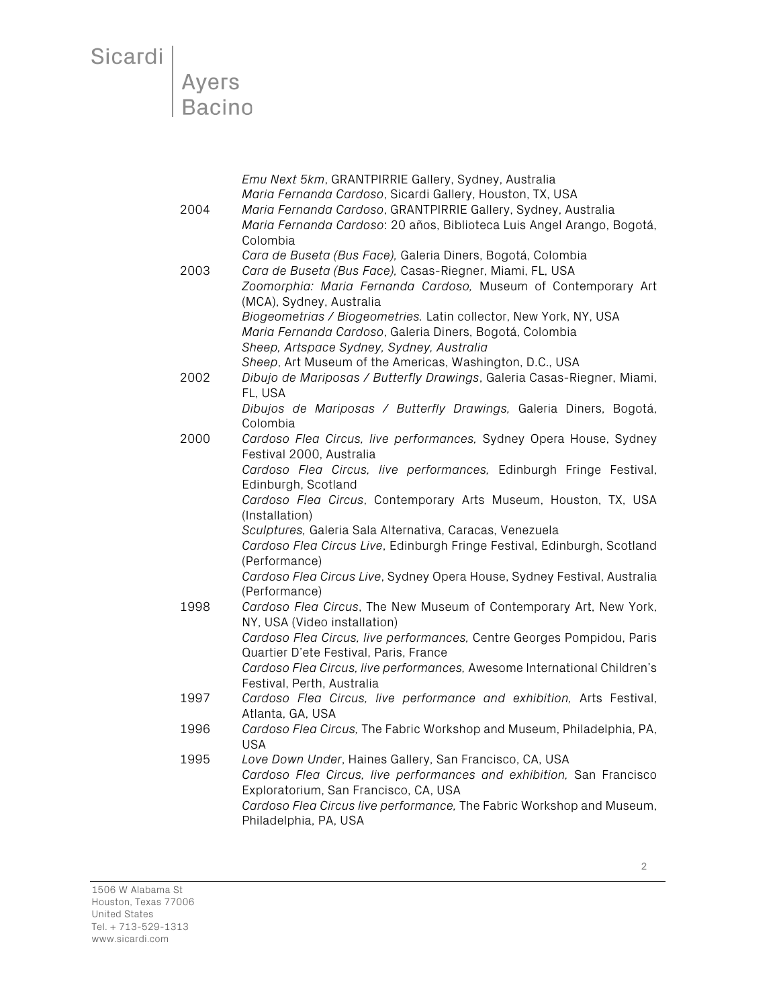# Sicardi<br>Ayers<br>Bacino

|      | Emu Next 5km, GRANTPIRRIE Gallery, Sydney, Australia                                                                                 |
|------|--------------------------------------------------------------------------------------------------------------------------------------|
|      | Maria Fernanda Cardoso, Sicardi Gallery, Houston, TX, USA                                                                            |
| 2004 | Maria Fernanda Cardoso, GRANTPIRRIE Gallery, Sydney, Australia                                                                       |
|      | Maria Fernanda Cardoso: 20 años, Biblioteca Luis Angel Arango, Bogotá,                                                               |
|      | Colombia                                                                                                                             |
|      | Cara de Buseta (Bus Face), Galeria Diners, Bogotá, Colombia                                                                          |
| 2003 | Cara de Buseta (Bus Face), Casas-Riegner, Miami, FL, USA                                                                             |
|      | Zoomorphia: Maria Fernanda Cardoso, Museum of Contemporary Art<br>(MCA), Sydney, Australia                                           |
|      | Biogeometrias / Biogeometries. Latin collector, New York, NY, USA                                                                    |
|      | Maria Fernanda Cardoso, Galeria Diners, Bogotá, Colombia                                                                             |
|      | Sheep, Artspace Sydney, Sydney, Australia                                                                                            |
|      | Sheep, Art Museum of the Americas, Washington, D.C., USA                                                                             |
| 2002 | Dibujo de Mariposas / Butterfly Drawings, Galeria Casas-Riegner, Miami,                                                              |
|      | FL, USA                                                                                                                              |
|      | Dibujos de Mariposas / Butterfly Drawings, Galeria Diners, Bogotá,                                                                   |
|      | Colombia                                                                                                                             |
| 2000 | Cardoso Flea Circus, live performances, Sydney Opera House, Sydney                                                                   |
|      | Festival 2000, Australia                                                                                                             |
|      | Cardoso Flea Circus, live performances, Edinburgh Fringe Festival,                                                                   |
|      | Edinburgh, Scotland                                                                                                                  |
|      | Cardoso Flea Circus, Contemporary Arts Museum, Houston, TX, USA                                                                      |
|      | (Installation)                                                                                                                       |
|      | Sculptures, Galeria Sala Alternativa, Caracas, Venezuela<br>Cardoso Flea Circus Live, Edinburgh Fringe Festival, Edinburgh, Scotland |
|      | (Performance)                                                                                                                        |
|      | Cardoso Flea Circus Live, Sydney Opera House, Sydney Festival, Australia                                                             |
|      | (Performance)                                                                                                                        |
| 1998 | Cardoso Flea Circus, The New Museum of Contemporary Art, New York,                                                                   |
|      | NY, USA (Video installation)                                                                                                         |
|      | Cardoso Flea Circus, live performances, Centre Georges Pompidou, Paris                                                               |
|      | Quartier D'ete Festival, Paris, France                                                                                               |
|      | Cardoso Flea Circus, live performances, Awesome International Children's                                                             |
|      | Festival, Perth, Australia                                                                                                           |
| 1997 | Cardoso Flea Circus, live performance and exhibition, Arts Festival,                                                                 |
|      | Atlanta, GA, USA                                                                                                                     |
| 1996 | Cardoso Flea Circus, The Fabric Workshop and Museum, Philadelphia, PA,                                                               |
| 1995 | <b>USA</b><br>Love Down Under, Haines Gallery, San Francisco, CA, USA                                                                |
|      | Cardoso Flea Circus, live performances and exhibition, San Francisco                                                                 |
|      | Exploratorium, San Francisco, CA, USA                                                                                                |
|      | Cardoso Flea Circus live performance, The Fabric Workshop and Museum,                                                                |
|      | Philadelphia, PA, USA                                                                                                                |
|      |                                                                                                                                      |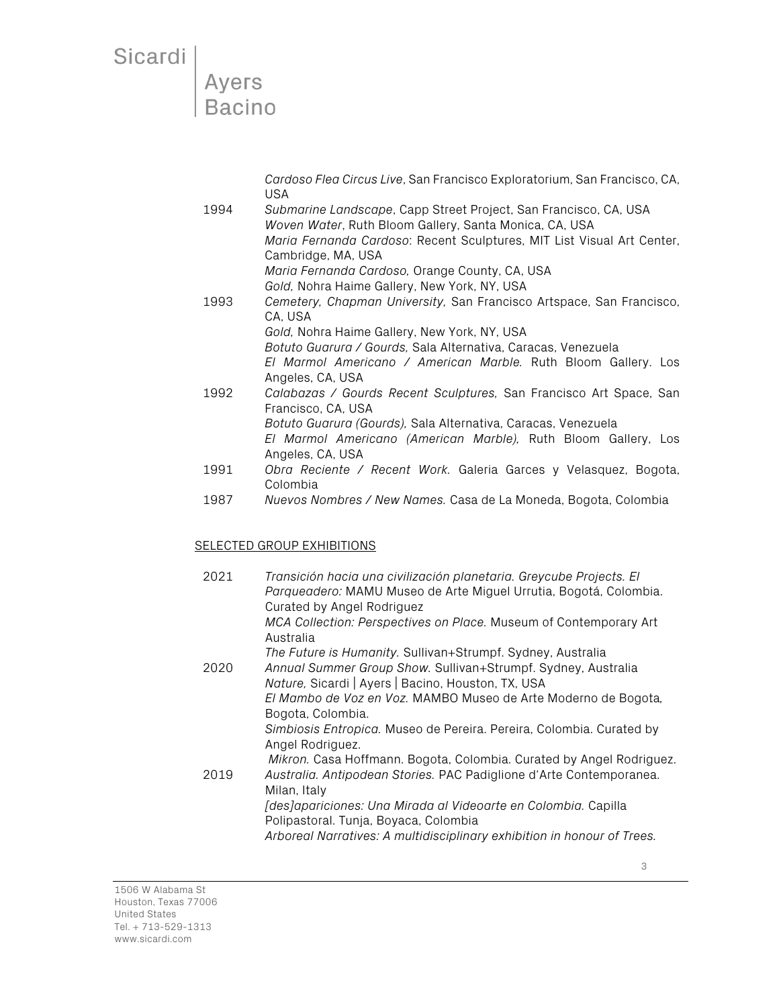### Ayers **Bacino**

*Cardoso Flea Circus Live*, San Francisco Exploratorium, San Francisco, CA, USA

- 1994 *Submarine Landscape*, Capp Street Project, San Francisco, CA, USA *Woven Water*, Ruth Bloom Gallery, Santa Monica, CA, USA *Maria Fernanda Cardoso*: Recent Sculptures, MIT List Visual Art Center, Cambridge, MA, USA *Maria Fernanda Cardoso,* Orange County, CA, USA *Gold,* Nohra Haime Gallery, New York, NY, USA
- 1993 *Cemetery, Chapman University,* San Francisco Artspace, San Francisco, CA, USA *Gold,* Nohra Haime Gallery, New York, NY, USA

*Botuto Guarura / Gourds,* Sala Alternativa, Caracas, Venezuela *El Marmol Americano / American Marble.* Ruth Bloom Gallery. Los Angeles, CA, USA

- 1992 *Calabazas / Gourds Recent Sculptures,* San Francisco Art Space, San Francisco, CA, USA *Botuto Guarura (Gourds),* Sala Alternativa, Caracas, Venezuela *El Marmol Americano (American Marble),* Ruth Bloom Gallery, Los Angeles, CA, USA
- 1991 *Obra Reciente / Recent Work.* Galeria Garces y Velasquez, Bogota, Colombia
- 1987 *Nuevos Nombres / New Names.* Casa de La Moneda, Bogota, Colombia

#### SELECTED GROUP EXHIBITIONS

| 2021 | Transición hacia una civilización planetaria. Greycube Projects. El<br>Parqueadero: MAMU Museo de Arte Miguel Urrutia, Bogotá, Colombia.<br>Curated by Angel Rodriguez |
|------|------------------------------------------------------------------------------------------------------------------------------------------------------------------------|
|      | MCA Collection: Perspectives on Place. Museum of Contemporary Art<br>Australia                                                                                         |
|      | The Future is Humanity. Sullivan+Strumpf. Sydney, Australia                                                                                                            |
| 2020 | Annual Summer Group Show. Sullivan+Strumpf. Sydney, Australia<br>Nature, Sicardi   Ayers   Bacino, Houston, TX, USA                                                    |
|      | El Mambo de Voz en Voz. MAMBO Museo de Arte Moderno de Bogota,<br>Bogota, Colombia.                                                                                    |
|      | Simbiosis Entropica. Museo de Pereira. Pereira, Colombia. Curated by<br>Angel Rodriguez.                                                                               |
|      | Mikron. Casa Hoffmann. Bogota, Colombia. Curated by Angel Rodriguez.                                                                                                   |
| 2019 | Australia. Antipodean Stories. PAC Padiglione d'Arte Contemporanea.<br>Milan, Italy                                                                                    |
|      | [des]apariciones: Una Mirada al Videoarte en Colombia. Capilla<br>Polipastoral. Tunja, Boyaca, Colombia                                                                |
|      | Arboreal Narratives: A multidisciplinary exhibition in honour of Trees.                                                                                                |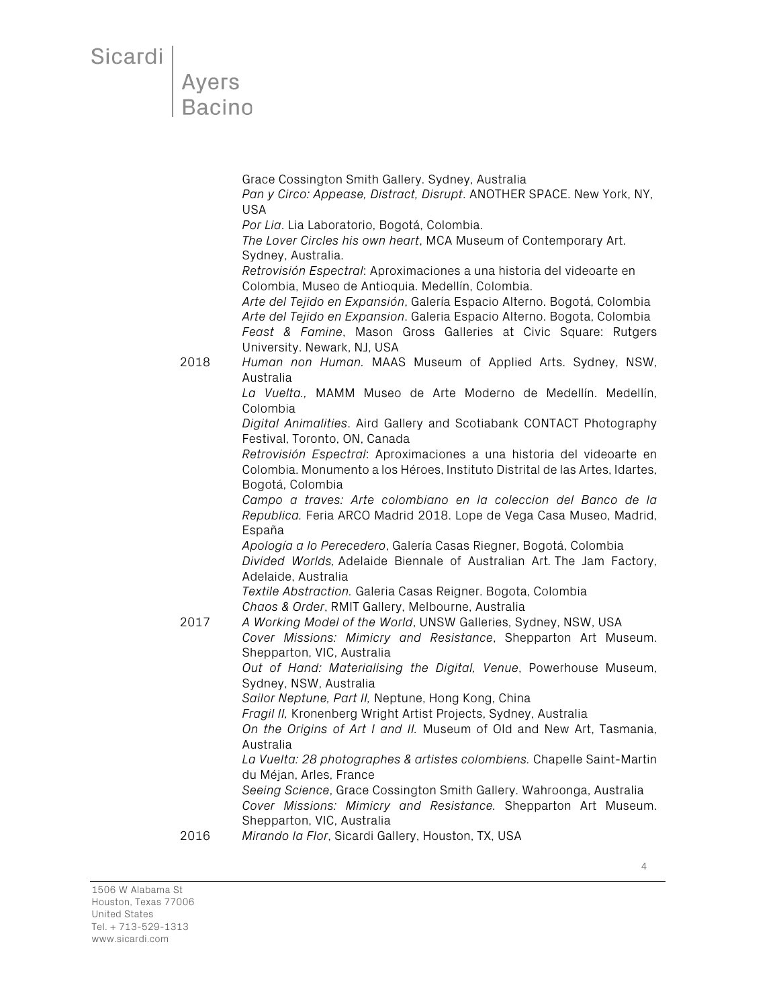### **Ayers Bacino**

Grace Cossington Smith Gallery. Sydney, Australia *Pan y Circo: Appease, Distract, Disrupt*. ANOTHER SPACE. New York, NY, USA *Por Lia*. Lia Laboratorio, Bogotá, Colombia. *The Lover Circles his own heart*, MCA Museum of Contemporary Art. Sydney, Australia. *Retrovisión Espectral*: Aproximaciones a una historia del videoarte en Colombia, Museo de Antioquia. Medellín, Colombia. *Arte del Tejido en Expansión*, Galería Espacio Alterno. Bogotá, Colombia *Arte del Tejido en Expansion*. Galeria Espacio Alterno. Bogota, Colombia *Feast & Famine*, Mason Gross Galleries at Civic Square: Rutgers University. Newark, NJ, USA 2018 *Human non Human.* MAAS Museum of Applied Arts. Sydney, NSW, Australia *La Vuelta.,* MAMM Museo de Arte Moderno de Medellín. Medellín, Colombia *Digital Animalities*. Aird Gallery and Scotiabank CONTACT Photography Festival, Toronto, ON, Canada *Retrovisión Espectral*: Aproximaciones a una historia del videoarte en Colombia. Monumento a los Héroes, Instituto Distrital de las Artes, Idartes, Bogotá, Colombia *Campo a traves: Arte colombiano en la coleccion del Banco de la Republica.* Feria ARCO Madrid 2018. Lope de Vega Casa Museo, Madrid, España *Apología a lo Perecedero*, Galería Casas Riegner, Bogotá, Colombia *Divided Worlds,* Adelaide Biennale of Australian Art*.* The Jam Factory, Adelaide, Australia *Textile Abstraction.* Galeria Casas Reigner. Bogota, Colombia *Chaos & Order*, RMIT Gallery, Melbourne, Australia 2017 *A Working Model of the World*, UNSW Galleries, Sydney, NSW, USA *Cover Missions: Mimicry and Resistance*, Shepparton Art Museum. Shepparton, VIC, Australia *Out of Hand: Materialising the Digital, Venue*, Powerhouse Museum, Sydney, NSW, Australia *Sailor Neptune, Part II,* Neptune, Hong Kong, China *Fragil II,* Kronenberg Wright Artist Projects, Sydney, Australia *On the Origins of Art I and II.* Museum of Old and New Art, Tasmania, Australia *La Vuelta: 28 photographes & artistes colombiens.* Chapelle Saint-Martin du Méjan, Arles, France *Seeing Science*, Grace Cossington Smith Gallery. Wahroonga, Australia *Cover Missions: Mimicry and Resistance.* Shepparton Art Museum. Shepparton, VIC, Australia 2016 *Mirando la Flor*, Sicardi Gallery, Houston, TX, USA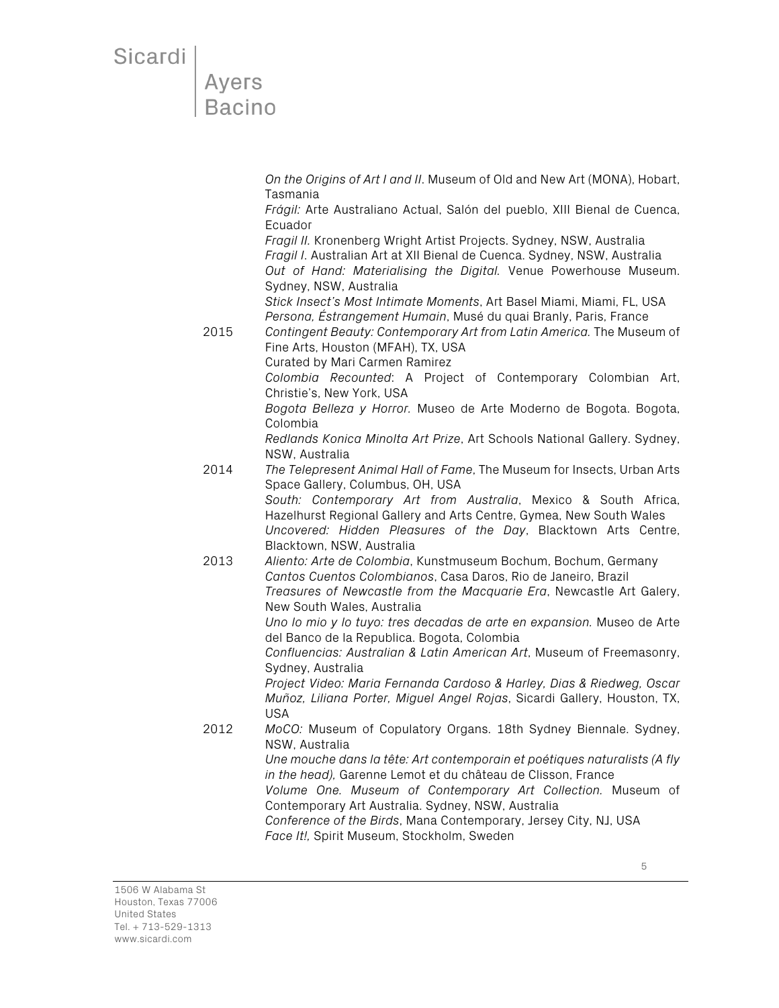## Ayers **Bacino**

*On the Origins of Art I and II*. Museum of Old and New Art (MONA), Hobart, Tasmania

*Frágil:* Arte Australiano Actual, Salón del pueblo, XIII Bienal de Cuenca, Ecuador

*Fragil II.* Kronenberg Wright Artist Projects. Sydney, NSW, Australia *Fragil I*. Australian Art at XII Bienal de Cuenca. Sydney, NSW, Australia *Out of Hand: Materialising the Digital.* Venue Powerhouse Museum. Sydney, NSW, Australia

*Stick Insect's Most Intimate Moments*, Art Basel Miami, Miami, FL, USA *Persona, Éstrangement Humain*, Musé du quai Branly, Paris, France

2015 *Contingent Beauty: Contemporary Art from Latin America.* The Museum of Fine Arts, Houston (MFAH), TX, USA Curated by Mari Carmen Ramirez

 *Colombia Recounted*: A Project of Contemporary Colombian Art, Christie's, New York, USA

*Bogota Belleza y Horror.* Museo de Arte Moderno de Bogota. Bogota, Colombia

 *Redlands Konica Minolta Art Prize*, Art Schools National Gallery. Sydney, NSW, Australia

2014 *The Telepresent Animal Hall of Fame*, The Museum for Insects, Urban Arts Space Gallery, Columbus, OH, USA

*South: Contemporary Art from Australia*, Mexico & South Africa, Hazelhurst Regional Gallery and Arts Centre, Gymea, New South Wales *Uncovered: Hidden Pleasures of the Day*, Blacktown Arts Centre, Blacktown, NSW, Australia

2013 *Aliento: Arte de Colombia*, Kunstmuseum Bochum, Bochum, Germany *Cantos Cuentos Colombianos*, Casa Daros, Rio de Janeiro, Brazil *Treasures of Newcastle from the Macquarie Era*, Newcastle Art Galery, New South Wales, Australia

*Uno lo mio y lo tuyo: tres decadas de arte en expansion.* Museo de Arte del Banco de la Republica. Bogota, Colombia

*Confluencias: Australian & Latin American Art*, Museum of Freemasonry, Sydney, Australia

*Project Video: Maria Fernanda Cardoso & Harley, Dias & Riedweg, Oscar Muñoz, Liliana Porter, Miguel Angel Rojas*, Sicardi Gallery, Houston, TX, USA

2012 *MoCO:* Museum of Copulatory Organs. 18th Sydney Biennale. Sydney, NSW, Australia

*Une mouche dans la tête: Art contemporain et poétiques naturalists (A fly in the head),* Garenne Lemot et du château de Clisson, France

*Volume One. Museum of Contemporary Art Collection.* Museum of Contemporary Art Australia. Sydney, NSW, Australia

*Conference of the Birds*, Mana Contemporary, Jersey City, NJ, USA *Face It!,* Spirit Museum, Stockholm, Sweden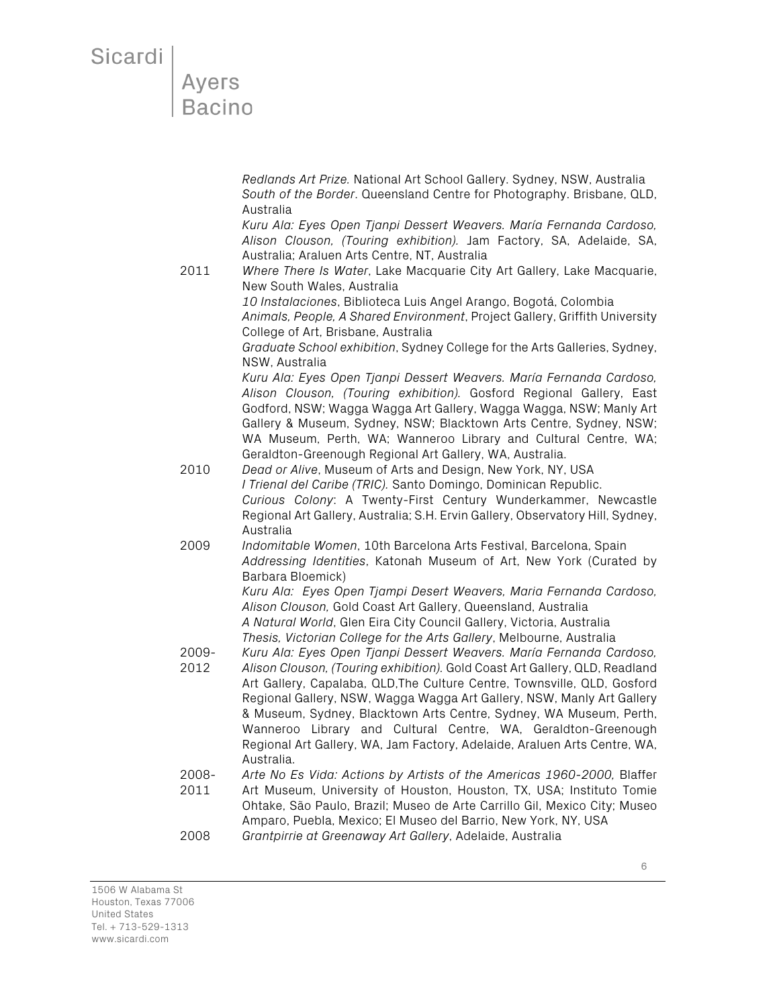## **Ayers Bacino**

*Redlands Art Prize.* National Art School Gallery. Sydney, NSW, Australia *South of the Border*. Queensland Centre for Photography. Brisbane, QLD, Australia

*Kuru Ala: Eyes Open Tjanpi Dessert Weavers. María Fernanda Cardoso, Alison Clouson, (Touring exhibition).* Jam Factory, SA, Adelaide, SA, Australia; Araluen Arts Centre, NT, Australia

2011 *Where There Is Water*, Lake Macquarie City Art Gallery, Lake Macquarie, New South Wales, Australia

> *10 Instalaciones*, Biblioteca Luis Angel Arango, Bogotá, Colombia *Animals, People, A Shared Environment*, Project Gallery, Griffith University College of Art, Brisbane, Australia

> *Graduate School exhibition*, Sydney College for the Arts Galleries, Sydney, NSW, Australia

> *Kuru Ala: Eyes Open Tjanpi Dessert Weavers. María Fernanda Cardoso, Alison Clouson, (Touring exhibition).* Gosford Regional Gallery, East Godford, NSW; Wagga Wagga Art Gallery, Wagga Wagga, NSW; Manly Art Gallery & Museum, Sydney, NSW; Blacktown Arts Centre, Sydney, NSW; WA Museum, Perth, WA; Wanneroo Library and Cultural Centre, WA; Geraldton-Greenough Regional Art Gallery, WA, Australia.

- 2010 *Dead or Alive*, Museum of Arts and Design, New York, NY, USA *I Trienal del Caribe (TRIC).* Santo Domingo, Dominican Republic. *Curious Colony*: A Twenty-First Century Wunderkammer, Newcastle Regional Art Gallery, Australia; S.H. Ervin Gallery, Observatory Hill, Sydney, Australia
- 2009 *Indomitable Women*, 10th Barcelona Arts Festival, Barcelona, Spain *Addressing Identities*, Katonah Museum of Art, New York (Curated by Barbara Bloemick)

*Kuru Ala: Eyes Open Tjampi Desert Weavers, Maria Fernanda Cardoso, Alison Clouson,* Gold Coast Art Gallery, Queensland, Australia *A Natural World*, Glen Eira City Council Gallery, Victoria, Australia *Thesis, Victorian College for the Arts Gallery*, Melbourne, Australia

- 2009- 2012 *Kuru Ala: Eyes Open Tjanpi Dessert Weavers. María Fernanda Cardoso, Alison Clouson, (Touring exhibition).* Gold Coast Art Gallery, QLD, Readland
- Art Gallery, Capalaba, QLD,The Culture Centre, Townsville, QLD, Gosford Regional Gallery, NSW, Wagga Wagga Art Gallery, NSW, Manly Art Gallery & Museum, Sydney, Blacktown Arts Centre, Sydney, WA Museum, Perth, Wanneroo Library and Cultural Centre, WA, Geraldton-Greenough Regional Art Gallery, WA, Jam Factory, Adelaide, Araluen Arts Centre, WA, Australia.
- 2008- *Arte No Es Vida: Actions by Artists of the Americas 1960-2000,* Blaffer
- 2011 Art Museum, University of Houston, Houston, TX, USA; Instituto Tomie Ohtake, São Paulo, Brazil; Museo de Arte Carrillo Gil, Mexico City; Museo Amparo, Puebla, Mexico; El Museo del Barrio, New York, NY, USA 2008 *Grantpirrie at Greenaway Art Gallery*, Adelaide, Australia

1506 W Alabama St Houston, Texas 77006 United States Tel. + 713-529-1313 www.sicardi.com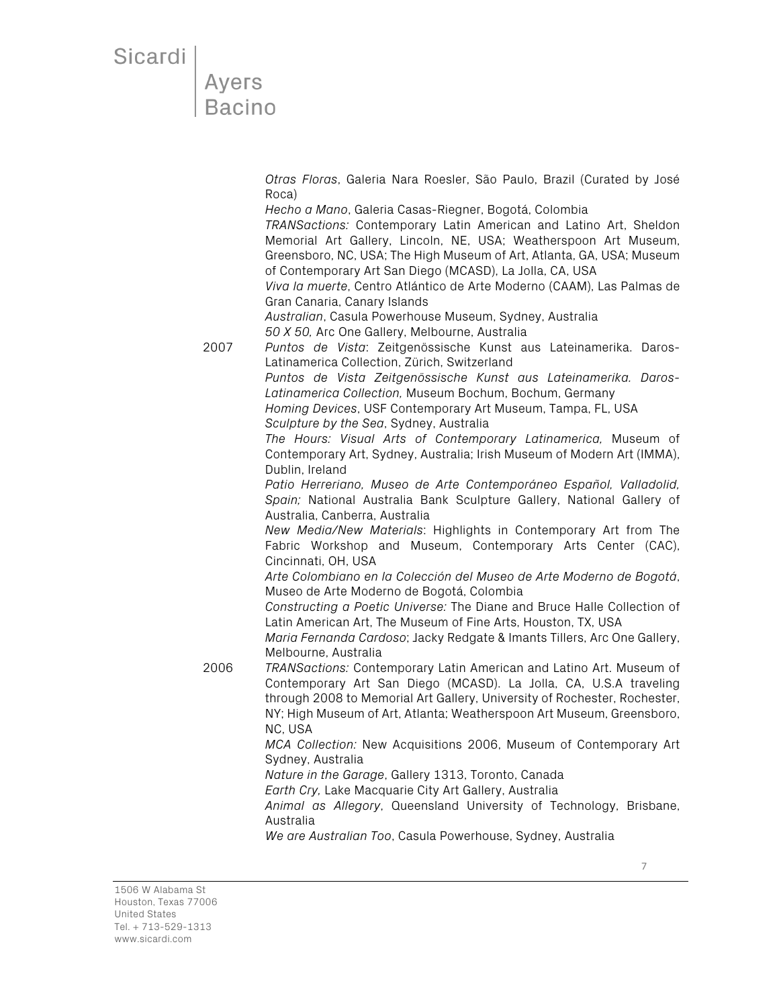## Ayers **Bacino**

*Otras Floras*, Galeria Nara Roesler, São Paulo, Brazil (Curated by José Roca)

*Hecho a Mano*, Galeria Casas-Riegner, Bogotá, Colombia *TRANSactions:* Contemporary Latin American and Latino Art, Sheldon Memorial Art Gallery, Lincoln, NE, USA; Weatherspoon Art Museum,

Greensboro, NC, USA; The High Museum of Art, Atlanta, GA, USA; Museum of Contemporary Art San Diego (MCASD), La Jolla, CA, USA

*Viva la muerte*, Centro Atlántico de Arte Moderno (CAAM), Las Palmas de Gran Canaria, Canary Islands

*Australian*, Casula Powerhouse Museum, Sydney, Australia *50 X 50,* Arc One Gallery, Melbourne, Australia

2007 *Puntos de Vista*: Zeitgenössische Kunst aus Lateinamerika. Daros-Latinamerica Collection, Zürich, Switzerland *Puntos de Vista Zeitgenössische Kunst aus Lateinamerika. Daros-*

*Latinamerica Collection,* Museum Bochum, Bochum, Germany

*Homing Devices*, USF Contemporary Art Museum, Tampa, FL, USA *Sculpture by the Sea*, Sydney, Australia

*The Hours: Visual Arts of Contemporary Latinamerica,* Museum of Contemporary Art, Sydney, Australia; Irish Museum of Modern Art (IMMA), Dublin, Ireland

*Patio Herreriano, Museo de Arte Contemporáneo Español, Valladolid, Spain;* National Australia Bank Sculpture Gallery, National Gallery of Australia, Canberra, Australia

*New Media/New Materials*: Highlights in Contemporary Art from The Fabric Workshop and Museum, Contemporary Arts Center (CAC), Cincinnati, OH, USA

*Arte Colombiano en la Colección del Museo de Arte Moderno de Bogotá*, Museo de Arte Moderno de Bogotá, Colombia

*Constructing a Poetic Universe:* The Diane and Bruce Halle Collection of Latin American Art, The Museum of Fine Arts, Houston, TX, USA

*Maria Fernanda Cardoso*; Jacky Redgate & Imants Tillers, Arc One Gallery, Melbourne, Australia

2006 *TRANSactions:* Contemporary Latin American and Latino Art. Museum of Contemporary Art San Diego (MCASD). La Jolla, CA, U.S.A traveling through 2008 to Memorial Art Gallery, University of Rochester, Rochester, NY; High Museum of Art, Atlanta; Weatherspoon Art Museum, Greensboro, NC, USA

> *MCA Collection:* New Acquisitions 2006, Museum of Contemporary Art Sydney, Australia

*Nature in the Garage*, Gallery 1313, Toronto, Canada

*Earth Cry,* Lake Macquarie City Art Gallery, Australia

*Animal as Allegory*, Queensland University of Technology, Brisbane, Australia

*We are Australian Too*, Casula Powerhouse, Sydney, Australia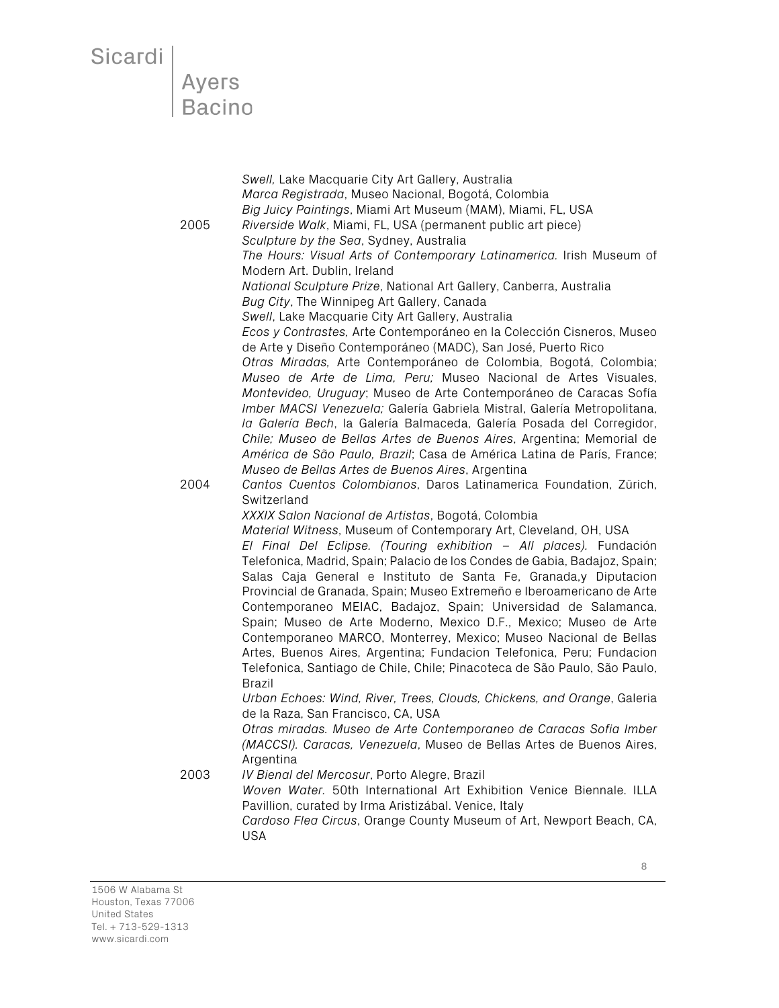# Sicardi<br>Ayers<br>Bacino

| 2005 | Swell, Lake Macquarie City Art Gallery, Australia<br>Marca Registrada, Museo Nacional, Bogotá, Colombia<br>Big Juicy Paintings, Miami Art Museum (MAM), Miami, FL, USA<br>Riverside Walk, Miami, FL, USA (permanent public art piece)<br>Sculpture by the Sea, Sydney, Australia<br>The Hours: Visual Arts of Contemporary Latinamerica. Irish Museum of<br>Modern Art. Dublin, Ireland<br>National Sculpture Prize, National Art Gallery, Canberra, Australia                                                                                                                                                                                                                                                                                                                                                                                                                                                                                                                                                               |
|------|------------------------------------------------------------------------------------------------------------------------------------------------------------------------------------------------------------------------------------------------------------------------------------------------------------------------------------------------------------------------------------------------------------------------------------------------------------------------------------------------------------------------------------------------------------------------------------------------------------------------------------------------------------------------------------------------------------------------------------------------------------------------------------------------------------------------------------------------------------------------------------------------------------------------------------------------------------------------------------------------------------------------------|
| 2004 | Bug City, The Winnipeg Art Gallery, Canada<br>Swell, Lake Macquarie City Art Gallery, Australia<br>Ecos y Contrastes, Arte Contemporáneo en la Colección Cisneros, Museo<br>de Arte y Diseño Contemporáneo (MADC), San José, Puerto Rico<br>Otras Miradas, Arte Contemporáneo de Colombia, Bogotá, Colombia;<br>Museo de Arte de Lima, Peru; Museo Nacional de Artes Visuales,<br>Montevideo, Uruguay; Museo de Arte Contemporáneo de Caracas Sofía<br>Imber MACSI Venezuela; Galería Gabriela Mistral, Galería Metropolitana,<br>la Galería Bech, la Galería Balmaceda, Galería Posada del Corregidor,<br>Chile; Museo de Bellas Artes de Buenos Aires, Argentina; Memorial de<br>América de São Paulo, Brazil; Casa de América Latina de París, France;<br>Museo de Bellas Artes de Buenos Aires, Argentina<br>Cantos Cuentos Colombianos, Daros Latinamerica Foundation, Zürich,<br>Switzerland<br>XXXIX Salon Nacional de Artistas, Bogotá, Colombia<br>Material Witness, Museum of Contemporary Art, Cleveland, OH, USA |
|      | El Final Del Eclipse. (Touring exhibition - All places). Fundación<br>Telefonica, Madrid, Spain; Palacio de los Condes de Gabia, Badajoz, Spain;<br>Salas Caja General e Instituto de Santa Fe, Granada,y Diputacion<br>Provincial de Granada, Spain; Museo Extremeño e Iberoamericano de Arte<br>Contemporaneo MEIAC, Badajoz, Spain; Universidad de Salamanca,<br>Spain; Museo de Arte Moderno, Mexico D.F., Mexico; Museo de Arte<br>Contemporaneo MARCO, Monterrey, Mexico; Museo Nacional de Bellas<br>Artes, Buenos Aires, Argentina; Fundacion Telefonica, Peru; Fundacion<br>Telefonica, Santiago de Chile, Chile; Pinacoteca de São Paulo, São Paulo,<br>Brazil                                                                                                                                                                                                                                                                                                                                                     |
|      | Urban Echoes: Wind, River, Trees, Clouds, Chickens, and Orange, Galeria<br>de la Raza, San Francisco, CA, USA<br>Otras miradas. Museo de Arte Contemporaneo de Caracas Sofia Imber<br>(MACCSI). Caracas, Venezuela, Museo de Bellas Artes de Buenos Aires,<br>Argentina                                                                                                                                                                                                                                                                                                                                                                                                                                                                                                                                                                                                                                                                                                                                                      |
| 2003 | IV Bienal del Mercosur, Porto Alegre, Brazil<br>Woven Water. 50th International Art Exhibition Venice Biennale. ILLA<br>Pavillion, curated by Irma Aristizábal. Venice, Italy<br>Cardoso Flea Circus, Orange County Museum of Art, Newport Beach, CA,<br><b>USA</b>                                                                                                                                                                                                                                                                                                                                                                                                                                                                                                                                                                                                                                                                                                                                                          |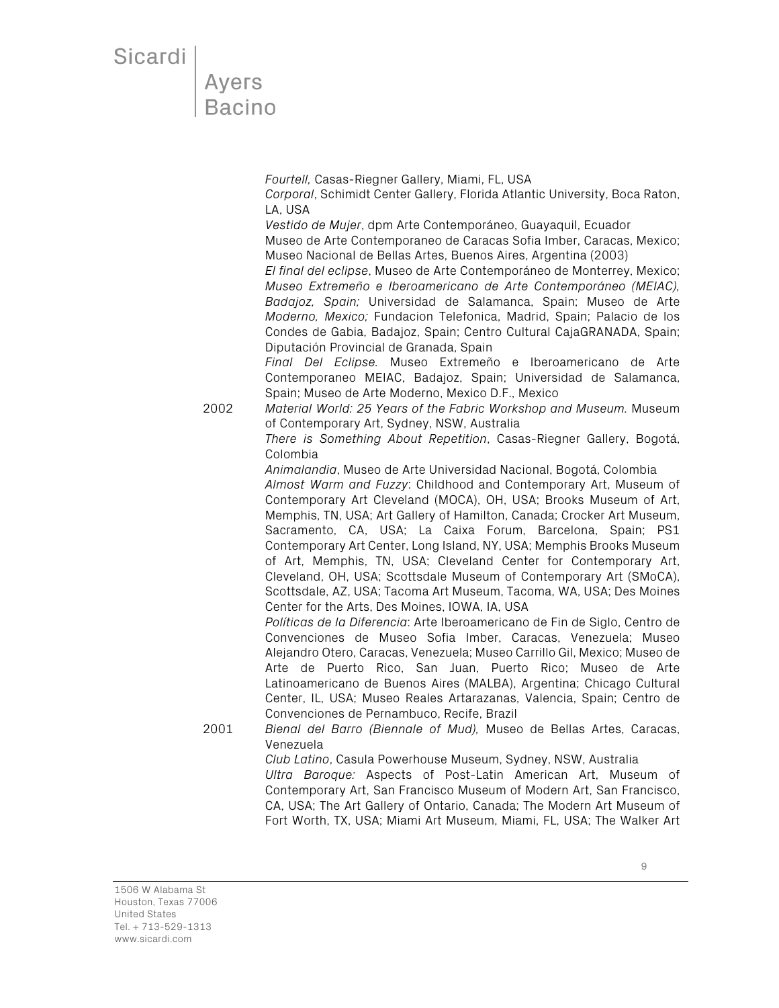## Ayers **Bacino**

*Fourtell,* Casas-Riegner Gallery, Miami, FL, USA *Corporal*, Schimidt Center Gallery, Florida Atlantic University, Boca Raton, LA, USA

*Vestido de Mujer*, dpm Arte Contemporáneo, Guayaquil, Ecuador

Museo de Arte Contemporaneo de Caracas Sofia Imber, Caracas, Mexico; Museo Nacional de Bellas Artes, Buenos Aires, Argentina (2003)

*El final del eclipse*, Museo de Arte Contemporáneo de Monterrey, Mexico; *Museo Extremeño e Iberoamericano de Arte Contemporáneo (MEIAC), Badajoz, Spain;* Universidad de Salamanca, Spain; Museo de Arte *Moderno, Mexico;* Fundacion Telefonica, Madrid, Spain; Palacio de los Condes de Gabia, Badajoz, Spain; Centro Cultural CajaGRANADA, Spain; Diputación Provincial de Granada, Spain

*Final Del Eclipse.* Museo Extremeño e Iberoamericano de Arte Contemporaneo MEIAC, Badajoz, Spain; Universidad de Salamanca, Spain; Museo de Arte Moderno, Mexico D.F., Mexico

2002 *Material World: 25 Years of the Fabric Workshop and Museum.* Museum of Contemporary Art, Sydney, NSW, Australia

> *There is Something About Repetition*, Casas-Riegner Gallery, Bogotá, Colombia

> *Animalandia*, Museo de Arte Universidad Nacional, Bogotá, Colombia *Almost Warm and Fuzzy*: Childhood and Contemporary Art, Museum of Contemporary Art Cleveland (MOCA), OH, USA; Brooks Museum of Art, Memphis, TN, USA; Art Gallery of Hamilton, Canada; Crocker Art Museum, Sacramento, CA, USA; La Caixa Forum, Barcelona, Spain; PS1 Contemporary Art Center, Long Island, NY, USA; Memphis Brooks Museum of Art, Memphis, TN, USA; Cleveland Center for Contemporary Art, Cleveland, OH, USA; Scottsdale Museum of Contemporary Art (SMoCA), Scottsdale, AZ, USA; Tacoma Art Museum, Tacoma, WA, USA; Des Moines Center for the Arts, Des Moines, IOWA, IA, USA

> *Políticas de la Diferencia*: Arte Iberoamericano de Fin de Siglo, Centro de Convenciones de Museo Sofia Imber, Caracas, Venezuela; Museo Alejandro Otero, Caracas, Venezuela; Museo Carrillo Gil, Mexico; Museo de Arte de Puerto Rico, San Juan, Puerto Rico; Museo de Arte Latinoamericano de Buenos Aires (MALBA), Argentina; Chicago Cultural Center, IL, USA; Museo Reales Artarazanas, Valencia, Spain; Centro de Convenciones de Pernambuco, Recife, Brazil

2001 *Bienal del Barro (Biennale of Mud),* Museo de Bellas Artes, Caracas, Venezuela

*Club Latino*, Casula Powerhouse Museum, Sydney, NSW, Australia

*Ultra Baroque:* Aspects of Post-Latin American Art, Museum of Contemporary Art, San Francisco Museum of Modern Art, San Francisco, CA, USA; The Art Gallery of Ontario, Canada; The Modern Art Museum of Fort Worth, TX, USA; Miami Art Museum, Miami, FL, USA; The Walker Art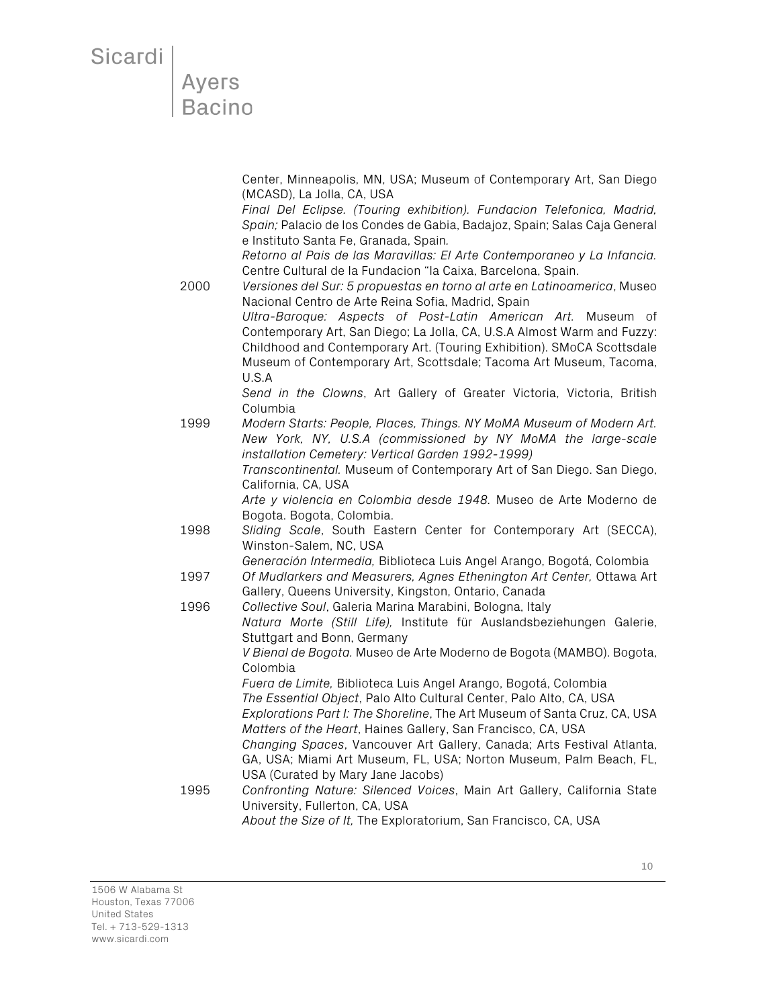## **Ayers Bacino**

Center, Minneapolis, MN, USA; Museum of Contemporary Art, San Diego (MCASD), La Jolla, CA, USA

*Final Del Eclipse. (Touring exhibition). Fundacion Telefonica, Madrid, Spain;* Palacio de los Condes de Gabia, Badajoz, Spain; Salas Caja General e Instituto Santa Fe, Granada, Spain*.*

*Retorno al Pais de las Maravillas: El Arte Contemporaneo y La Infancia.*  Centre Cultural de la Fundacion "la Caixa, Barcelona, Spain.

2000 *Versiones del Sur: 5 propuestas en torno al arte en Latinoamerica*, Museo Nacional Centro de Arte Reina Sofia, Madrid, Spain *Ultra-Baroque: Aspects of Post-Latin American Art.* Museum of Contemporary Art, San Diego; La Jolla, CA, U.S.A Almost Warm and Fuzzy: Childhood and Contemporary Art. (Touring Exhibition). SMoCA Scottsdale Museum of Contemporary Art, Scottsdale; Tacoma Art Museum, Tacoma, U.S.A

*Send in the Clowns*, Art Gallery of Greater Victoria, Victoria, British Columbia

1999 *Modern Starts: People, Places, Things. NY MoMA Museum of Modern Art. New York, NY, U.S.A (commissioned by NY MoMA the large-scale installation Cemetery: Vertical Garden 1992-1999) Transcontinental.* Museum of Contemporary Art of San Diego. San Diego,

California, CA, USA

*Arte y violencia en Colombia desde 1948.* Museo de Arte Moderno de Bogota. Bogota, Colombia.

1998 *Sliding Scale*, South Eastern Center for Contemporary Art (SECCA), Winston-Salem, NC, USA

*Generación Intermedia,* Biblioteca Luis Angel Arango, Bogotá, Colombia

- 1997 *Of Mudlarkers and Measurers, Agnes Ethenington Art Center,* Ottawa Art Gallery, Queens University, Kingston, Ontario, Canada
- 1996 *Collective Soul*, Galeria Marina Marabini, Bologna, Italy *Natura Morte (Still Life),* Institute für Auslandsbeziehungen Galerie, Stuttgart and Bonn, Germany *V Bienal de Bogota.* Museo de Arte Moderno de Bogota (MAMBO). Bogota, Colombia *Fuera de Limite,* Biblioteca Luis Angel Arango, Bogotá, Colombia *The Essential Object*, Palo Alto Cultural Center, Palo Alto, CA, USA *Explorations Part I: The Shoreline*, The Art Museum of Santa Cruz, CA, USA *Matters of the Heart*, Haines Gallery, San Francisco, CA, USA *Changing Spaces*, Vancouver Art Gallery, Canada; Arts Festival Atlanta, GA, USA; Miami Art Museum, FL, USA; Norton Museum, Palm Beach, FL, USA (Curated by Mary Jane Jacobs) 1995 *Confronting Nature: Silenced Voices*, Main Art Gallery, California State University, Fullerton, CA, USA

*About the Size of It,* The Exploratorium, San Francisco, CA, USA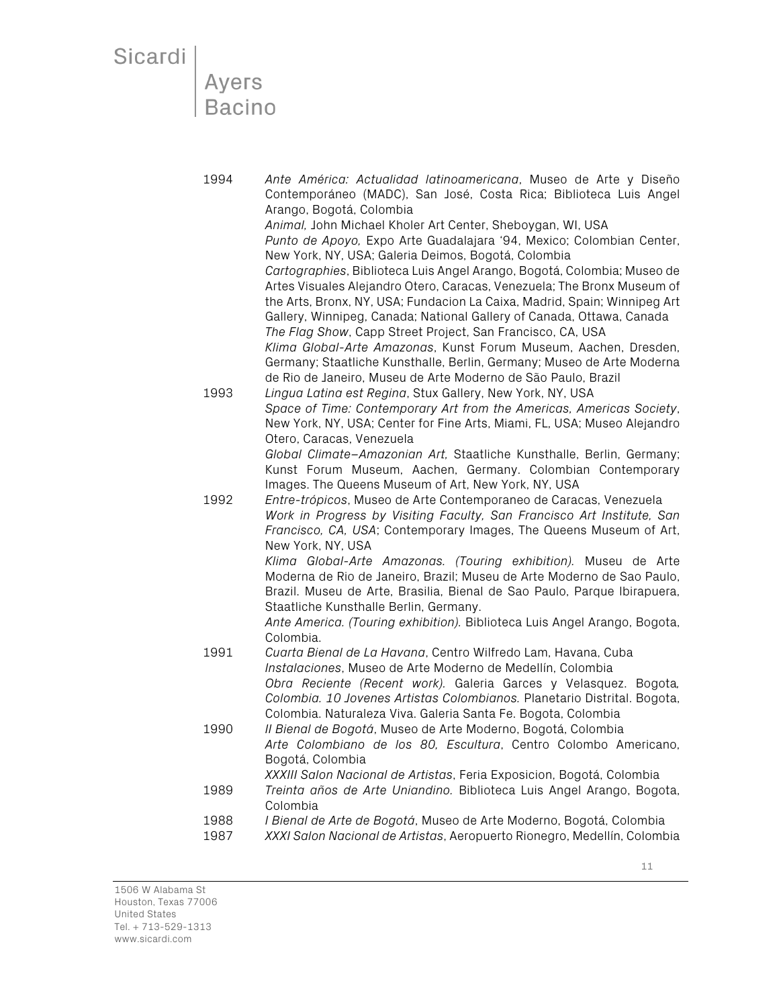### Ayers **Bacino**

1994 *Ante América: Actualidad latinoamericana*, Museo de Arte y Diseño Contemporáneo (MADC), San José, Costa Rica; Biblioteca Luis Angel Arango, Bogotá, Colombia *Animal,* John Michael Kholer Art Center, Sheboygan, WI, USA *Punto de Apoyo,* Expo Arte Guadalajara '94, Mexico; Colombian Center, New York, NY, USA; Galeria Deimos, Bogotá, Colombia *Cartographies*, Biblioteca Luis Angel Arango, Bogotá, Colombia; Museo de Artes Visuales Alejandro Otero, Caracas, Venezuela; The Bronx Museum of the Arts, Bronx, NY, USA; Fundacion La Caixa, Madrid, Spain; Winnipeg Art Gallery, Winnipeg, Canada; National Gallery of Canada, Ottawa, Canada *The Flag Show*, Capp Street Project, San Francisco, CA, USA *Klima Global-Arte Amazonas*, Kunst Forum Museum, Aachen, Dresden, Germany; Staatliche Kunsthalle, Berlin, Germany; Museo de Arte Moderna de Rio de Janeiro, Museu de Arte Moderno de São Paulo, Brazil 1993 *Lingua Latina est Regina*, Stux Gallery, New York, NY, USA *Space of Time: Contemporary Art from the Americas, Americas Society*, New York, NY, USA; Center for Fine Arts, Miami, FL, USA; Museo Alejandro Otero, Caracas, Venezuela *Global Climate–Amazonian Art,* Staatliche Kunsthalle, Berlin, Germany; Kunst Forum Museum, Aachen, Germany. Colombian Contemporary Images. The Queens Museum of Art, New York, NY, USA 1992 *Entre-trópicos*, Museo de Arte Contemporaneo de Caracas, Venezuela *Work in Progress by Visiting Faculty, San Francisco Art Institute, San Francisco, CA, USA*; Contemporary Images, The Queens Museum of Art, New York, NY, USA *Klima Global-Arte Amazonas. (Touring exhibition).* Museu de Arte Moderna de Rio de Janeiro, Brazil; Museu de Arte Moderno de Sao Paulo, Brazil. Museu de Arte, Brasilia, Bienal de Sao Paulo, Parque lbirapuera, Staatliche Kunsthalle Berlin, Germany. *Ante America. (Touring exhibition).* Biblioteca Luis Angel Arango, Bogota, Colombia. 1991 *Cuarta Bienal de La Havana*, Centro Wilfredo Lam, Havana, Cuba *Instalaciones*, Museo de Arte Moderno de Medellín, Colombia *Obra Reciente (Recent work).* Galeria Garces y Velasquez. Bogota*, Colombia. 10 Jovenes Artistas Colombianos.* Planetario Distrital. Bogota, Colombia. Naturaleza Viva. Galeria Santa Fe. Bogota, Colombia 1990 *II Bienal de Bogotá*, Museo de Arte Moderno, Bogotá, Colombia *Arte Colombiano de los 80, Escultura*, Centro Colombo Americano, Bogotá, Colombia *XXXIII Salon Nacional de Artistas*, Feria Exposicion, Bogotá, Colombia 1989 *Treinta años de Arte Uniandino.* Biblioteca Luis Angel Arango, Bogota, Colombia 1988 *I Bienal de Arte de Bogotá*, Museo de Arte Moderno, Bogotá, Colombia

1987 *XXXI Salon Nacional de Artistas*, Aeropuerto Rionegro, Medellín, Colombia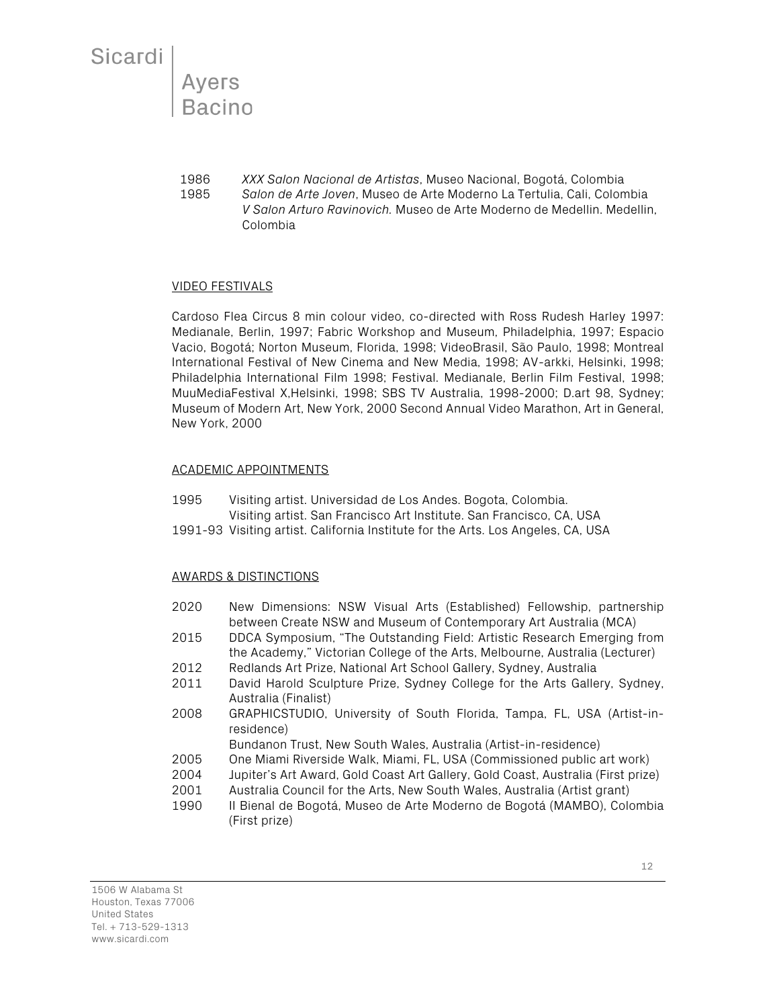Ayers **Bacino** 

1986 *XXX Salon Nacional de Artistas*, Museo Nacional, Bogotá, Colombia 1985 *Salon de Arte Joven*, Museo de Arte Moderno La Tertulia, Cali, Colombia *V Salon Arturo Ravinovich.* Museo de Arte Moderno de Medellin. Medellin, Colombia

#### VIDEO FESTIVALS

Cardoso Flea Circus 8 min colour video, co-directed with Ross Rudesh Harley 1997: Medianale, Berlin, 1997; Fabric Workshop and Museum, Philadelphia, 1997; Espacio Vacio, Bogotá; Norton Museum, Florida, 1998; VideoBrasil, São Paulo, 1998; Montreal International Festival of New Cinema and New Media, 1998; AV-arkki, Helsinki, 1998; Philadelphia International Film 1998; Festival. Medianale, Berlin Film Festival, 1998; MuuMediaFestival X,Helsinki, 1998; SBS TV Australia, 1998-2000; D.art 98, Sydney; Museum of Modern Art, New York, 2000 Second Annual Video Marathon, Art in General, New York, 2000

#### ACADEMIC APPOINTMENTS

- 1995 Visiting artist. Universidad de Los Andes. Bogota, Colombia. Visiting artist. San Francisco Art Institute. San Francisco, CA, USA
- 1991-93 Visiting artist. California Institute for the Arts. Los Angeles, CA, USA

#### AWARDS & DISTINCTIONS

- 2020 New Dimensions: NSW Visual Arts (Established) Fellowship, partnership between Create NSW and Museum of Contemporary Art Australia (MCA)
- 2015 DDCA Symposium, "The Outstanding Field: Artistic Research Emerging from the Academy," Victorian College of the Arts, Melbourne, Australia (Lecturer)
- 2012 Redlands Art Prize, National Art School Gallery, Sydney, Australia
- 2011 David Harold Sculpture Prize, Sydney College for the Arts Gallery, Sydney, Australia (Finalist)
- 2008 GRAPHICSTUDIO, University of South Florida, Tampa, FL, USA (Artist-inresidence)

Bundanon Trust, New South Wales, Australia (Artist-in-residence)

- 2005 One Miami Riverside Walk, Miami, FL, USA (Commissioned public art work)
- 2004 Jupiter's Art Award, Gold Coast Art Gallery, Gold Coast, Australia (First prize)
- 2001 Australia Council for the Arts, New South Wales, Australia (Artist grant)
- 1990 II Bienal de Bogotá, Museo de Arte Moderno de Bogotá (MAMBO), Colombia (First prize)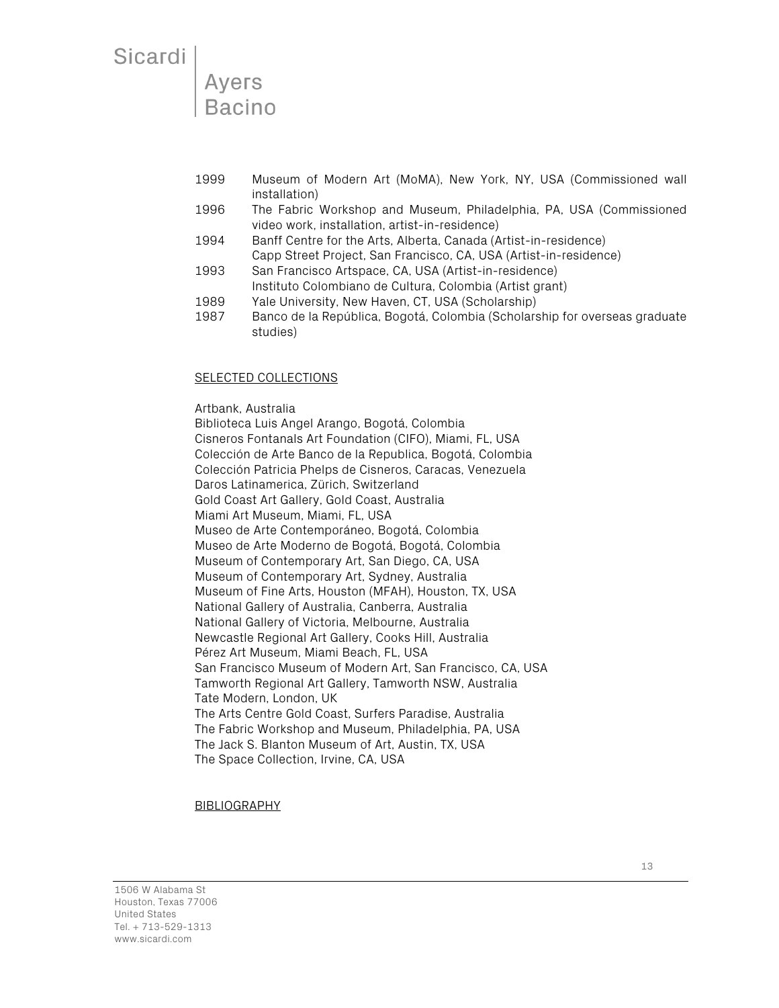Ayers **Bacino** 

- 1999 Museum of Modern Art (MoMA), New York, NY, USA (Commissioned wall installation)
- 1996 The Fabric Workshop and Museum, Philadelphia, PA, USA (Commissioned video work, installation, artist-in-residence)
- 1994 Banff Centre for the Arts, Alberta, Canada (Artist-in-residence) Capp Street Project, San Francisco, CA, USA (Artist-in-residence)
- 1993 San Francisco Artspace, CA, USA (Artist-in-residence) Instituto Colombiano de Cultura, Colombia (Artist grant)
- 1989 Yale University, New Haven, CT, USA (Scholarship)
- 1987 Banco de la República, Bogotá, Colombia (Scholarship for overseas graduate studies)

SELECTED COLLECTIONS Artbank, Australia Biblioteca Luis Angel Arango, Bogotá, Colombia Cisneros Fontanals Art Foundation (CIFO), Miami, FL, USA Colección de Arte Banco de la Republica, Bogotá, Colombia Colección Patricia Phelps de Cisneros, Caracas, Venezuela Daros Latinamerica, Zürich, Switzerland Gold Coast Art Gallery, Gold Coast, Australia Miami Art Museum, Miami, FL, USA Museo de Arte Contemporáneo, Bogotá, Colombia Museo de Arte Moderno de Bogotá, Bogotá, Colombia Museum of Contemporary Art, San Diego, CA, USA Museum of Contemporary Art, Sydney, Australia Museum of Fine Arts, Houston (MFAH), Houston, TX, USA National Gallery of Australia, Canberra, Australia National Gallery of Victoria, Melbourne, Australia Newcastle Regional Art Gallery, Cooks Hill, Australia Pérez Art Museum, Miami Beach, FL, USA San Francisco Museum of Modern Art, San Francisco, CA, USA Tamworth Regional Art Gallery, Tamworth NSW, Australia Tate Modern, London, UK The Arts Centre Gold Coast, Surfers Paradise, Australia The Fabric Workshop and Museum, Philadelphia, PA, USA The Jack S. Blanton Museum of Art, Austin, TX, USA The Space Collection, Irvine, CA, USA

#### **BIBLIOGRAPHY**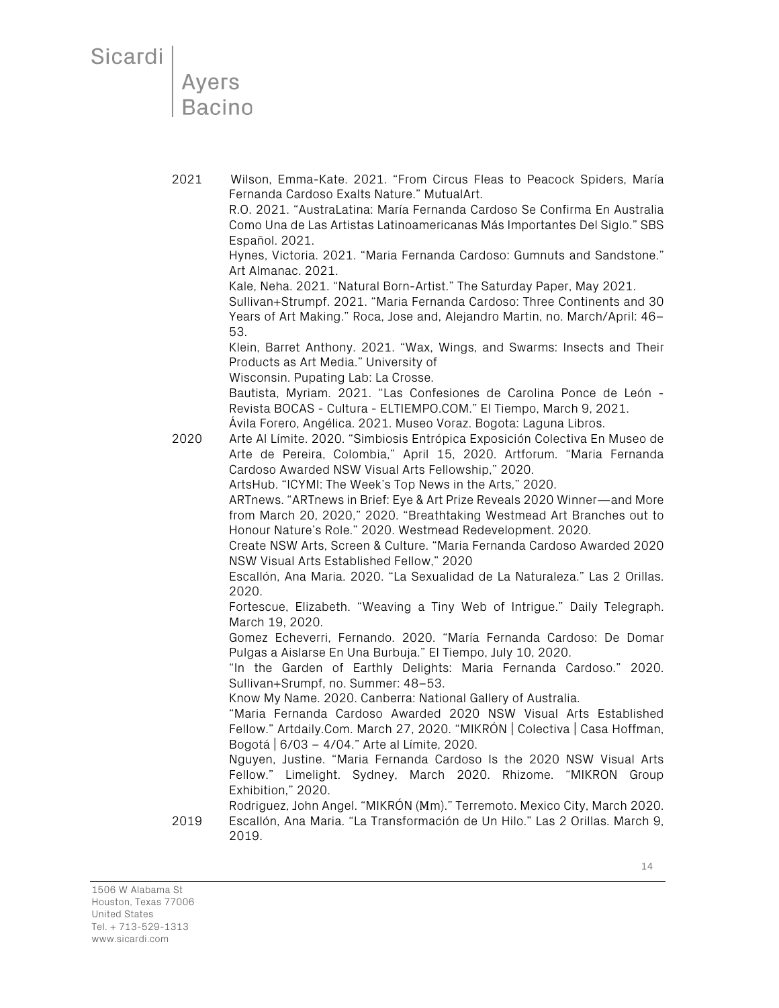**Ayers Bacino** 

2021 Wilson, Emma-Kate. 2021. "From Circus Fleas to Peacock Spiders, María Fernanda Cardoso Exalts Nature." MutualArt.

R.O. 2021. "AustraLatina: María Fernanda Cardoso Se Confirma En Australia Como Una de Las Artistas Latinoamericanas Más Importantes Del Siglo." SBS Español. 2021.

Hynes, Victoria. 2021. "Maria Fernanda Cardoso: Gumnuts and Sandstone." Art Almanac. 2021.

Kale, Neha. 2021. "Natural Born-Artist." The Saturday Paper, May 2021. Sullivan+Strumpf. 2021. "Maria Fernanda Cardoso: Three Continents and 30

Years of Art Making." Roca, Jose and, Alejandro Martin, no. March/April: 46– 53.

Klein, Barret Anthony. 2021. "Wax, Wings, and Swarms: Insects and Their Products as Art Media." University of

Wisconsin. Pupating Lab: La Crosse.

Bautista, Myriam. 2021. "Las Confesiones de Carolina Ponce de León - Revista BOCAS - Cultura - ELTIEMPO.COM." El Tiempo, March 9, 2021.

Ávila Forero, Angélica. 2021. Museo Voraz. Bogota: Laguna Libros.

2020 Arte Al Límite. 2020. "Simbiosis Entrópica Exposición Colectiva En Museo de Arte de Pereira, Colombia," April 15, 2020. Artforum. "Maria Fernanda Cardoso Awarded NSW Visual Arts Fellowship," 2020.

ArtsHub. "ICYMI: The Week's Top News in the Arts," 2020.

ARTnews. "ARTnews in Brief: Eye & Art Prize Reveals 2020 Winner—and More from March 20, 2020," 2020. "Breathtaking Westmead Art Branches out to Honour Nature's Role." 2020. Westmead Redevelopment. 2020.

Create NSW Arts, Screen & Culture. "Maria Fernanda Cardoso Awarded 2020 NSW Visual Arts Established Fellow," 2020

Escallón, Ana Maria. 2020. "La Sexualidad de La Naturaleza." Las 2 Orillas. 2020.

Fortescue, Elizabeth. "Weaving a Tiny Web of Intrigue." Daily Telegraph. March 19, 2020.

Gomez Echeverri, Fernando. 2020. "María Fernanda Cardoso: De Domar Pulgas a Aislarse En Una Burbuja." El Tiempo, July 10, 2020.

"In the Garden of Earthly Delights: Maria Fernanda Cardoso." 2020. Sullivan+Srumpf, no. Summer: 48–53.

Know My Name. 2020. Canberra: National Gallery of Australia.

"Maria Fernanda Cardoso Awarded 2020 NSW Visual Arts Established Fellow." Artdaily.Com. March 27, 2020. "MIKRÓN | Colectiva | Casa Hoffman, Bogotá | 6/03 – 4/04." Arte al Límite, 2020.

Nguyen, Justine. "Maria Fernanda Cardoso Is the 2020 NSW Visual Arts Fellow." Limelight. Sydney, March 2020. Rhizome. "MIKRON Group Exhibition," 2020.

Rodriguez, John Angel. "MIKRÓN (Μm)." Terremoto. Mexico City, March 2020. 2019 Escallón, Ana Maria. "La Transformación de Un Hilo." Las 2 Orillas. March 9, 2019.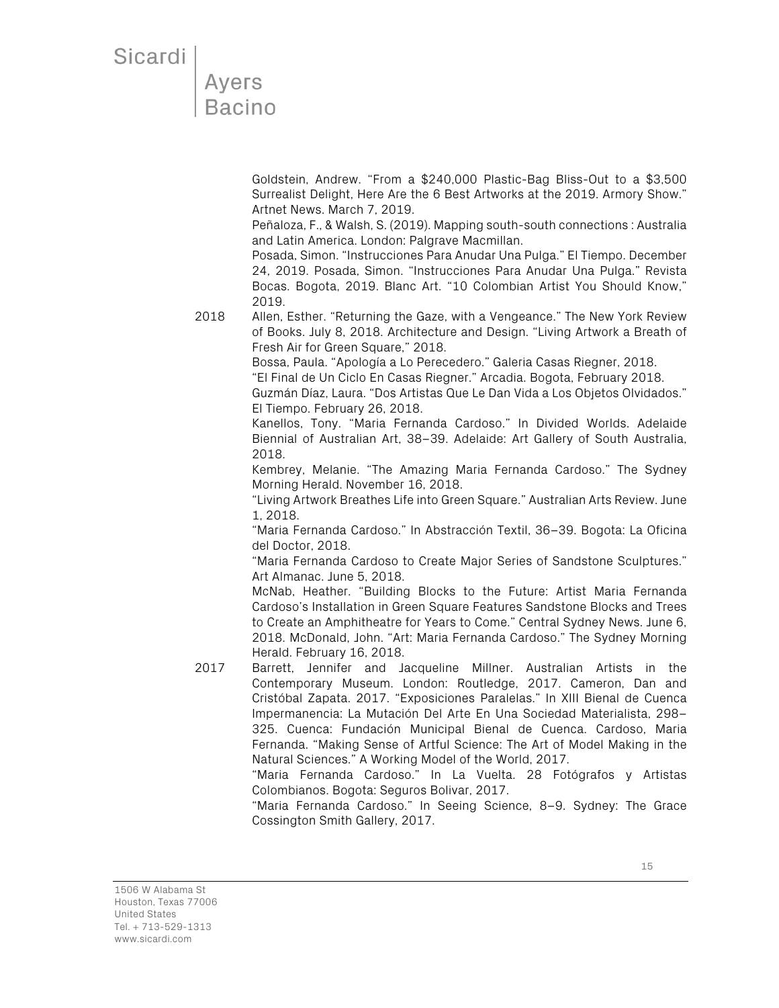Goldstein, Andrew. "From a \$240,000 Plastic-Bag Bliss-Out to a \$3,500 Surrealist Delight, Here Are the 6 Best Artworks at the 2019. Armory Show." Artnet News. March 7, 2019.

Peñaloza, F., & Walsh, S. (2019). Mapping south-south connections : Australia and Latin America. London: Palgrave Macmillan.

Posada, Simon. "Instrucciones Para Anudar Una Pulga." El Tiempo. December 24, 2019. Posada, Simon. "Instrucciones Para Anudar Una Pulga." Revista Bocas. Bogota, 2019. Blanc Art. "10 Colombian Artist You Should Know," 2019.

2018 Allen, Esther. "Returning the Gaze, with a Vengeance." The New York Review of Books. July 8, 2018. Architecture and Design. "Living Artwork a Breath of Fresh Air for Green Square," 2018.

Bossa, Paula. "Apología a Lo Perecedero." Galeria Casas Riegner, 2018.

"El Final de Un Ciclo En Casas Riegner." Arcadia. Bogota, February 2018.

Guzmán Díaz, Laura. "Dos Artistas Que Le Dan Vida a Los Objetos Olvidados." El Tiempo. February 26, 2018.

Kanellos, Tony. "Maria Fernanda Cardoso." In Divided Worlds. Adelaide Biennial of Australian Art, 38–39. Adelaide: Art Gallery of South Australia, 2018.

Kembrey, Melanie. "The Amazing Maria Fernanda Cardoso." The Sydney Morning Herald. November 16, 2018.

"Living Artwork Breathes Life into Green Square." Australian Arts Review. June 1, 2018.

"Maria Fernanda Cardoso." In Abstracción Textil, 36–39. Bogota: La Oficina del Doctor, 2018.

"Maria Fernanda Cardoso to Create Major Series of Sandstone Sculptures." Art Almanac. June 5, 2018.

McNab, Heather. "Building Blocks to the Future: Artist Maria Fernanda Cardoso's Installation in Green Square Features Sandstone Blocks and Trees to Create an Amphitheatre for Years to Come." Central Sydney News. June 6, 2018. McDonald, John. "Art: Maria Fernanda Cardoso." The Sydney Morning Herald. February 16, 2018.

2017 Barrett, Jennifer and Jacqueline Millner. Australian Artists in the Contemporary Museum. London: Routledge, 2017. Cameron, Dan and Cristóbal Zapata. 2017. "Exposiciones Paralelas." In XIII Bienal de Cuenca Impermanencia: La Mutación Del Arte En Una Sociedad Materialista, 298– 325. Cuenca: Fundación Municipal Bienal de Cuenca. Cardoso, Maria Fernanda. "Making Sense of Artful Science: The Art of Model Making in the Natural Sciences." A Working Model of the World, 2017.

"Maria Fernanda Cardoso." In La Vuelta. 28 Fotógrafos y Artistas Colombianos. Bogota: Seguros Bolivar, 2017.

"Maria Fernanda Cardoso." In Seeing Science, 8–9. Sydney: The Grace Cossington Smith Gallery, 2017.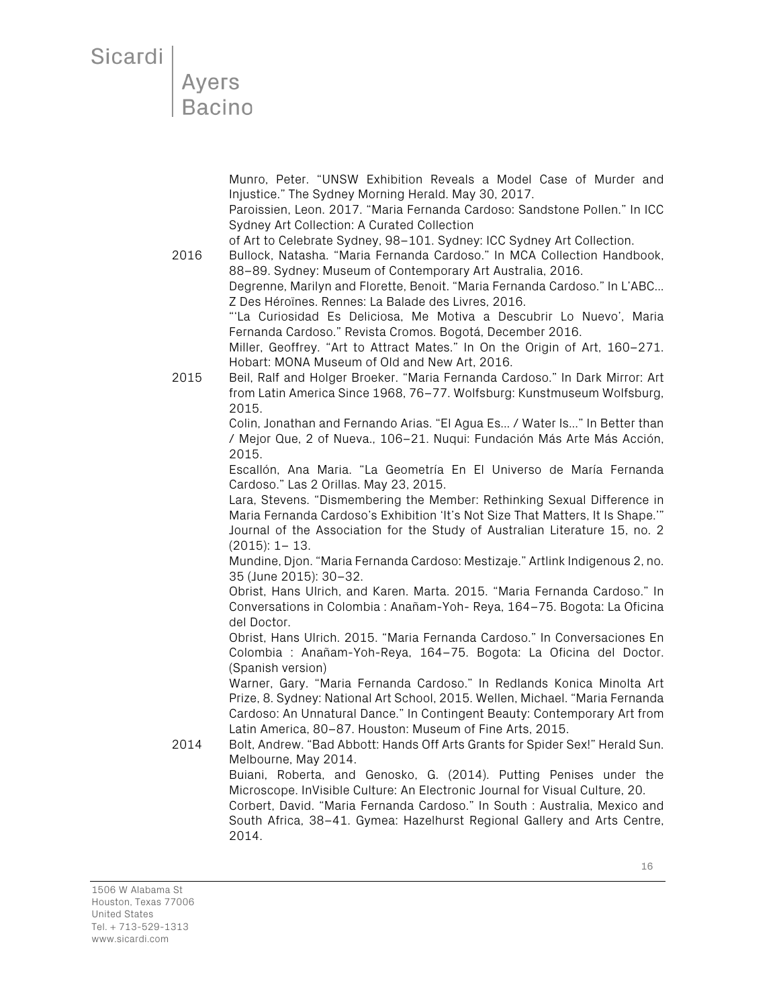Munro, Peter. "UNSW Exhibition Reveals a Model Case of Murder and Injustice." The Sydney Morning Herald. May 30, 2017.

Paroissien, Leon. 2017. "Maria Fernanda Cardoso: Sandstone Pollen." In ICC Sydney Art Collection: A Curated Collection

of Art to Celebrate Sydney, 98–101. Sydney: ICC Sydney Art Collection.

2016 Bullock, Natasha. "Maria Fernanda Cardoso." In MCA Collection Handbook, 88–89. Sydney: Museum of Contemporary Art Australia, 2016.

Degrenne, Marilyn and Florette, Benoit. "Maria Fernanda Cardoso." In L'ABC... Z Des Héroïnes. Rennes: La Balade des Livres, 2016.

"'La Curiosidad Es Deliciosa, Me Motiva a Descubrir Lo Nuevo', Maria Fernanda Cardoso." Revista Cromos. Bogotá, December 2016.

Miller, Geoffrey. "Art to Attract Mates." In On the Origin of Art, 160–271. Hobart: MONA Museum of Old and New Art, 2016.

2015 Beil, Ralf and Holger Broeker. "Maria Fernanda Cardoso." In Dark Mirror: Art from Latin America Since 1968, 76–77. Wolfsburg: Kunstmuseum Wolfsburg, 2015.

> Colin, Jonathan and Fernando Arias. "El Agua Es... / Water Is..." In Better than / Mejor Que, 2 of Nueva., 106–21. Nuqui: Fundación Más Arte Más Acción, 2015.

> Escallón, Ana Maria. "La Geometría En El Universo de María Fernanda Cardoso." Las 2 Orillas. May 23, 2015.

> Lara, Stevens. "Dismembering the Member: Rethinking Sexual Difference in Maria Fernanda Cardoso's Exhibition 'It's Not Size That Matters, It Is Shape.'"

> Journal of the Association for the Study of Australian Literature 15, no. 2 (2015): 1– 13.

> Mundine, Djon. "Maria Fernanda Cardoso: Mestizaje." Artlink Indigenous 2, no. 35 (June 2015): 30–32.

> Obrist, Hans Ulrich, and Karen. Marta. 2015. "Maria Fernanda Cardoso." In Conversations in Colombia : Anañam-Yoh- Reya, 164–75. Bogota: La Oficina del Doctor.

> Obrist, Hans Ulrich. 2015. "Maria Fernanda Cardoso." In Conversaciones En Colombia : Anañam-Yoh-Reya, 164–75. Bogota: La Oficina del Doctor. (Spanish version)

> Warner, Gary. "Maria Fernanda Cardoso." In Redlands Konica Minolta Art Prize, 8. Sydney: National Art School, 2015. Wellen, Michael. "Maria Fernanda Cardoso: An Unnatural Dance." In Contingent Beauty: Contemporary Art from Latin America, 80–87. Houston: Museum of Fine Arts, 2015.

2014 Bolt, Andrew. "Bad Abbott: Hands Off Arts Grants for Spider Sex!" Herald Sun. Melbourne, May 2014.

> Buiani, Roberta, and Genosko, G. (2014). Putting Penises under the Microscope. InVisible Culture: An Electronic Journal for Visual Culture, 20.

> Corbert, David. "Maria Fernanda Cardoso." In South : Australia, Mexico and South Africa, 38–41. Gymea: Hazelhurst Regional Gallery and Arts Centre, 2014.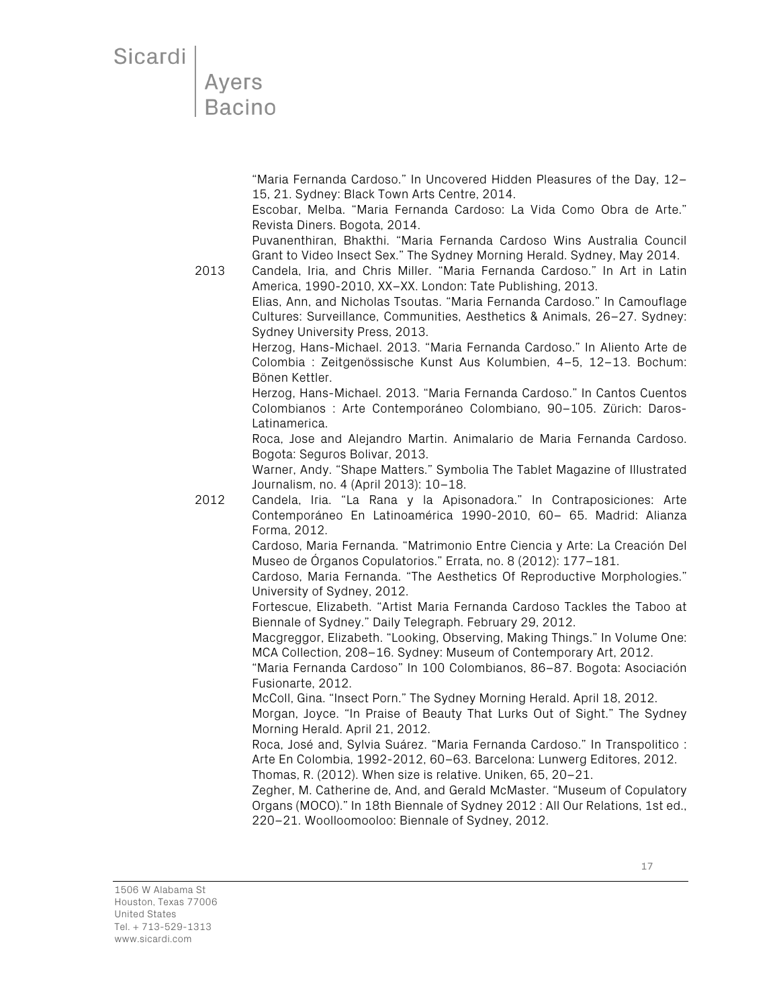"Maria Fernanda Cardoso." In Uncovered Hidden Pleasures of the Day, 12– 15, 21. Sydney: Black Town Arts Centre, 2014.

Escobar, Melba. "Maria Fernanda Cardoso: La Vida Como Obra de Arte." Revista Diners. Bogota, 2014.

Puvanenthiran, Bhakthi. "Maria Fernanda Cardoso Wins Australia Council Grant to Video Insect Sex." The Sydney Morning Herald. Sydney, May 2014.

2013 Candela, Iria, and Chris Miller. "Maria Fernanda Cardoso." In Art in Latin America, 1990-2010, XX–XX. London: Tate Publishing, 2013.

Elias, Ann, and Nicholas Tsoutas. "Maria Fernanda Cardoso." In Camouflage Cultures: Surveillance, Communities, Aesthetics & Animals, 26–27. Sydney: Sydney University Press, 2013.

Herzog, Hans-Michael. 2013. "Maria Fernanda Cardoso." In Aliento Arte de Colombia : Zeitgenössische Kunst Aus Kolumbien, 4–5, 12–13. Bochum: Bönen Kettler.

Herzog, Hans-Michael. 2013. "Maria Fernanda Cardoso." In Cantos Cuentos Colombianos : Arte Contemporáneo Colombiano, 90–105. Zürich: Daros-Latinamerica.

Roca, Jose and Alejandro Martin. Animalario de Maria Fernanda Cardoso. Bogota: Seguros Bolivar, 2013.

Warner, Andy. "Shape Matters." Symbolia The Tablet Magazine of Illustrated Journalism, no. 4 (April 2013): 10–18.

2012 Candela, Iria. "La Rana y la Apisonadora." In Contraposiciones: Arte Contemporáneo En Latinoamérica 1990-2010, 60– 65. Madrid: Alianza Forma, 2012.

Cardoso, Maria Fernanda. "Matrimonio Entre Ciencia y Arte: La Creación Del Museo de Órganos Copulatorios." Errata, no. 8 (2012): 177–181.

Cardoso, Maria Fernanda. "The Aesthetics Of Reproductive Morphologies." University of Sydney, 2012.

Fortescue, Elizabeth. "Artist Maria Fernanda Cardoso Tackles the Taboo at Biennale of Sydney." Daily Telegraph. February 29, 2012.

Macgreggor, Elizabeth. "Looking, Observing, Making Things." In Volume One: MCA Collection, 208–16. Sydney: Museum of Contemporary Art, 2012.

"Maria Fernanda Cardoso" In 100 Colombianos, 86–87. Bogota: Asociación Fusionarte, 2012.

McColl, Gina. "Insect Porn." The Sydney Morning Herald. April 18, 2012.

Morgan, Joyce. "In Praise of Beauty That Lurks Out of Sight." The Sydney Morning Herald. April 21, 2012.

Roca, José and, Sylvia Suárez. "Maria Fernanda Cardoso." In Transpolitico : Arte En Colombia, 1992-2012, 60–63. Barcelona: Lunwerg Editores, 2012. Thomas, R. (2012). When size is relative. Uniken, 65, 20–21.

Zegher, M. Catherine de, And, and Gerald McMaster. "Museum of Copulatory Organs (MOCO)." In 18th Biennale of Sydney 2012 : All Our Relations, 1st ed., 220–21. Woolloomooloo: Biennale of Sydney, 2012.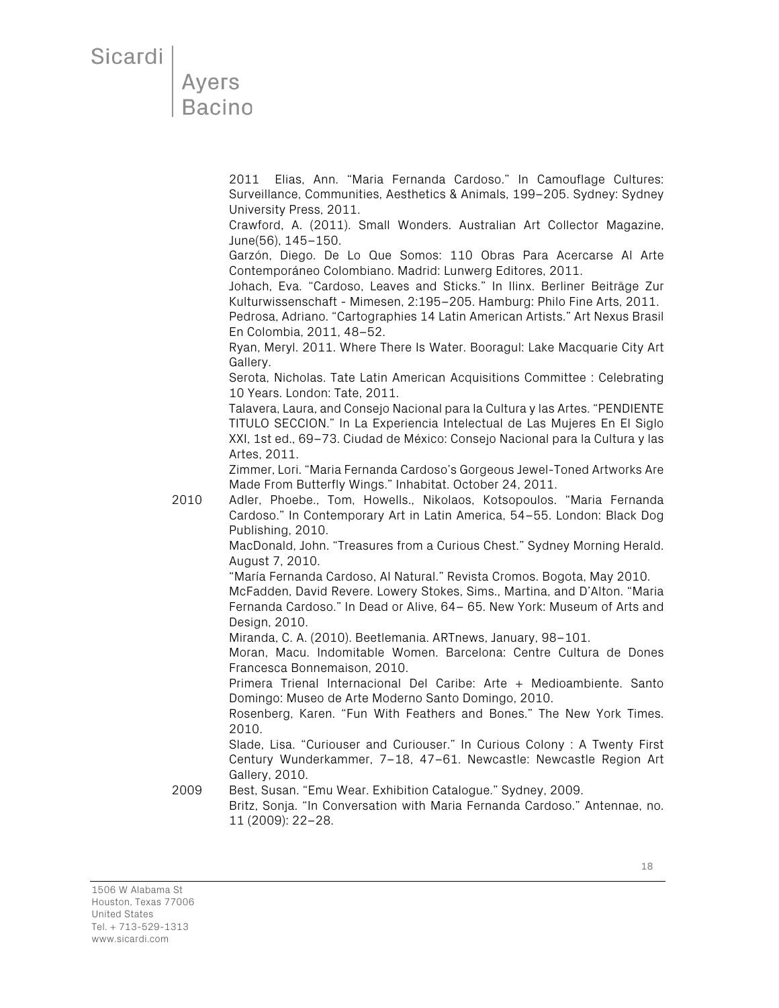#### **Ayers** Bacino

2011 Elias, Ann. "Maria Fernanda Cardoso." In Camouflage Cultures: Surveillance, Communities, Aesthetics & Animals, 199–205. Sydney: Sydney University Press, 2011.

Crawford, A. (2011). Small Wonders. Australian Art Collector Magazine, June(56), 145–150.

Garzón, Diego. De Lo Que Somos: 110 Obras Para Acercarse Al Arte Contemporáneo Colombiano. Madrid: Lunwerg Editores, 2011.

Johach, Eva. "Cardoso, Leaves and Sticks." In Ilinx. Berliner Beiträge Zur Kulturwissenschaft - Mimesen, 2:195–205. Hamburg: Philo Fine Arts, 2011.

Pedrosa, Adriano. "Cartographies 14 Latin American Artists." Art Nexus Brasil En Colombia, 2011, 48–52.

Ryan, Meryl. 2011. Where There Is Water. Booragul: Lake Macquarie City Art Gallery.

Serota, Nicholas. Tate Latin American Acquisitions Committee : Celebrating 10 Years. London: Tate, 2011.

Talavera, Laura, and Consejo Nacional para la Cultura y las Artes. "PENDIENTE TITULO SECCION." In La Experiencia Intelectual de Las Mujeres En El Siglo XXI, 1st ed., 69–73. Ciudad de México: Consejo Nacional para la Cultura y las Artes, 2011.

Zimmer, Lori. "Maria Fernanda Cardoso's Gorgeous Jewel-Toned Artworks Are Made From Butterfly Wings." Inhabitat. October 24, 2011.

2010 Adler, Phoebe., Tom, Howells., Nikolaos, Kotsopoulos. "Maria Fernanda Cardoso." In Contemporary Art in Latin America, 54–55. London: Black Dog Publishing, 2010.

> MacDonald, John. "Treasures from a Curious Chest." Sydney Morning Herald. August 7, 2010.

"María Fernanda Cardoso, Al Natural." Revista Cromos. Bogota, May 2010.

McFadden, David Revere. Lowery Stokes, Sims., Martina, and D'Alton. "Maria Fernanda Cardoso." In Dead or Alive, 64– 65. New York: Museum of Arts and Design, 2010.

Miranda, C. A. (2010). Beetlemania. ARTnews, January, 98–101.

Moran, Macu. Indomitable Women. Barcelona: Centre Cultura de Dones Francesca Bonnemaison, 2010.

Primera Trienal Internacional Del Caribe: Arte + Medioambiente. Santo Domingo: Museo de Arte Moderno Santo Domingo, 2010.

Rosenberg, Karen. "Fun With Feathers and Bones." The New York Times. 2010.

Slade, Lisa. "Curiouser and Curiouser." In Curious Colony : A Twenty First Century Wunderkammer, 7–18, 47–61. Newcastle: Newcastle Region Art Gallery, 2010.

2009 Best, Susan. "Emu Wear. Exhibition Catalogue." Sydney, 2009.

Britz, Sonja. "In Conversation with Maria Fernanda Cardoso." Antennae, no. 11 (2009): 22–28.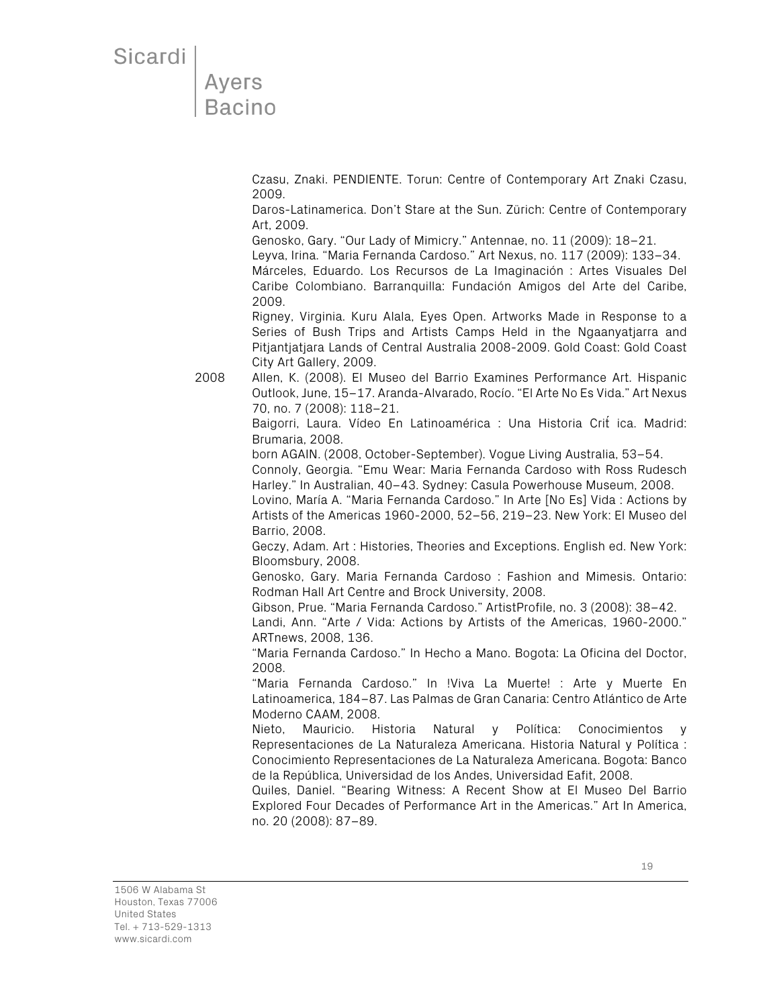Ayers **Bacino** 

> Czasu, Znaki. PENDIENTE. Torun: Centre of Contemporary Art Znaki Czasu, 2009.

> Daros-Latinamerica. Don't Stare at the Sun. Zürich: Centre of Contemporary Art, 2009.

Genosko, Gary. "Our Lady of Mimicry." Antennae, no. 11 (2009): 18–21.

Leyva, Irina. "Maria Fernanda Cardoso." Art Nexus, no. 117 (2009): 133–34.

Márceles, Eduardo. Los Recursos de La Imaginación : Artes Visuales Del Caribe Colombiano. Barranquilla: Fundación Amigos del Arte del Caribe, 2009.

Rigney, Virginia. Kuru Alala, Eyes Open. Artworks Made in Response to a Series of Bush Trips and Artists Camps Held in the Ngaanyatjarra and Pitjantjatjara Lands of Central Australia 2008-2009. Gold Coast: Gold Coast City Art Gallery, 2009.

2008 Allen, K. (2008). El Museo del Barrio Examines Performance Art. Hispanic Outlook, June, 15–17. Aranda-Alvarado, Rocío. "El Arte No Es Vida." Art Nexus 70, no. 7 (2008): 118–21.

> Baigorri, Laura. Vídeo En Latinoamérica : Una Historia Crit ica. Madrid: Brumaria, 2008.

born AGAIN. (2008, October-September). Vogue Living Australia, 53–54.

Connoly, Georgia. "Emu Wear: Maria Fernanda Cardoso with Ross Rudesch Harley." In Australian, 40–43. Sydney: Casula Powerhouse Museum, 2008.

Lovino, María A. "Maria Fernanda Cardoso." In Arte [No Es] Vida : Actions by Artists of the Americas 1960-2000, 52–56, 219–23. New York: El Museo del Barrio, 2008.

Geczy, Adam. Art : Histories, Theories and Exceptions. English ed. New York: Bloomsbury, 2008.

Genosko, Gary. Maria Fernanda Cardoso : Fashion and Mimesis. Ontario: Rodman Hall Art Centre and Brock University, 2008.

Gibson, Prue. "Maria Fernanda Cardoso." ArtistProfile, no. 3 (2008): 38–42.

Landi, Ann. "Arte / Vida: Actions by Artists of the Americas, 1960-2000." ARTnews, 2008, 136.

"Maria Fernanda Cardoso." In Hecho a Mano. Bogota: La Oficina del Doctor, 2008.

"Maria Fernanda Cardoso." In !Viva La Muerte! : Arte y Muerte En Latinoamerica, 184–87. Las Palmas de Gran Canaria: Centro Atlántico de Arte Moderno CAAM, 2008.

Nieto, Mauricio. Historia Natural y Política: Conocimientos y Representaciones de La Naturaleza Americana. Historia Natural y Política : Conocimiento Representaciones de La Naturaleza Americana. Bogota: Banco de la República, Universidad de los Andes, Universidad Eafit, 2008.

Quiles, Daniel. "Bearing Witness: A Recent Show at El Museo Del Barrio Explored Four Decades of Performance Art in the Americas." Art In America, no. 20 (2008): 87–89.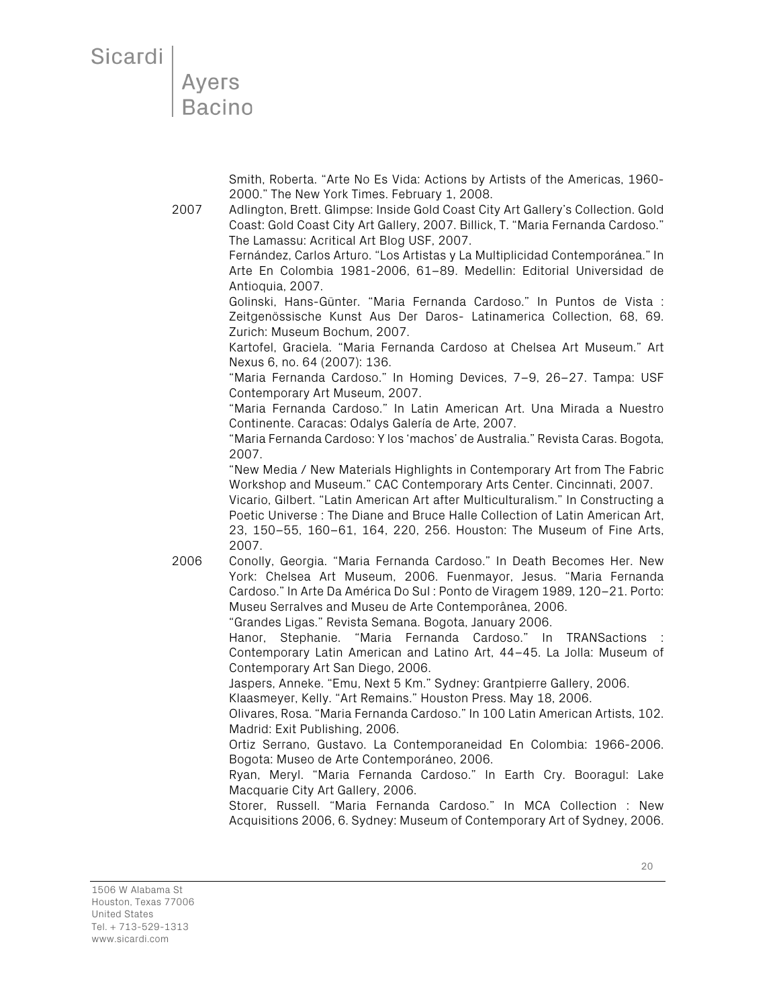**Ayers Bacino** 

> Smith, Roberta. "Arte No Es Vida: Actions by Artists of the Americas, 1960- 2000." The New York Times. February 1, 2008.

2007 Adlington, Brett. Glimpse: Inside Gold Coast City Art Gallery's Collection. Gold Coast: Gold Coast City Art Gallery, 2007. Billick, T. "Maria Fernanda Cardoso." The Lamassu: Acritical Art Blog USF, 2007.

Fernández, Carlos Arturo. "Los Artistas y La Multiplicidad Contemporánea." In Arte En Colombia 1981-2006, 61–89. Medellin: Editorial Universidad de Antioquia, 2007.

Golinski, Hans-Günter. "Maria Fernanda Cardoso." In Puntos de Vista : Zeitgenössische Kunst Aus Der Daros- Latinamerica Collection, 68, 69. Zurich: Museum Bochum, 2007.

Kartofel, Graciela. "Maria Fernanda Cardoso at Chelsea Art Museum." Art Nexus 6, no. 64 (2007): 136.

"Maria Fernanda Cardoso." In Homing Devices, 7–9, 26–27. Tampa: USF Contemporary Art Museum, 2007.

"Maria Fernanda Cardoso." In Latin American Art. Una Mirada a Nuestro Continente. Caracas: Odalys Galería de Arte, 2007.

"Maria Fernanda Cardoso: Y los 'machos' de Australia." Revista Caras. Bogota, 2007.

"New Media / New Materials Highlights in Contemporary Art from The Fabric Workshop and Museum." CAC Contemporary Arts Center. Cincinnati, 2007.

Vicario, Gilbert. "Latin American Art after Multiculturalism." In Constructing a Poetic Universe : The Diane and Bruce Halle Collection of Latin American Art, 23, 150–55, 160–61, 164, 220, 256. Houston: The Museum of Fine Arts, 2007.

2006 Conolly, Georgia. "Maria Fernanda Cardoso." In Death Becomes Her. New York: Chelsea Art Museum, 2006. Fuenmayor, Jesus. "Maria Fernanda Cardoso." In Arte Da América Do Sul : Ponto de Viragem 1989, 120–21. Porto: Museu Serralves and Museu de Arte Contemporânea, 2006.

"Grandes Ligas." Revista Semana. Bogota, January 2006.

Hanor, Stephanie. "Maria Fernanda Cardoso." In TRANSactions : Contemporary Latin American and Latino Art, 44–45. La Jolla: Museum of Contemporary Art San Diego, 2006.

Jaspers, Anneke. "Emu, Next 5 Km." Sydney: Grantpierre Gallery, 2006.

Klaasmeyer, Kelly. "Art Remains." Houston Press. May 18, 2006.

Olivares, Rosa. "Maria Fernanda Cardoso." In 100 Latin American Artists, 102. Madrid: Exit Publishing, 2006.

Ortiz Serrano, Gustavo. La Contemporaneidad En Colombia: 1966-2006. Bogota: Museo de Arte Contemporáneo, 2006.

Ryan, Meryl. "Maria Fernanda Cardoso." In Earth Cry. Booragul: Lake Macquarie City Art Gallery, 2006.

Storer, Russell. "Maria Fernanda Cardoso." In MCA Collection : New Acquisitions 2006, 6. Sydney: Museum of Contemporary Art of Sydney, 2006.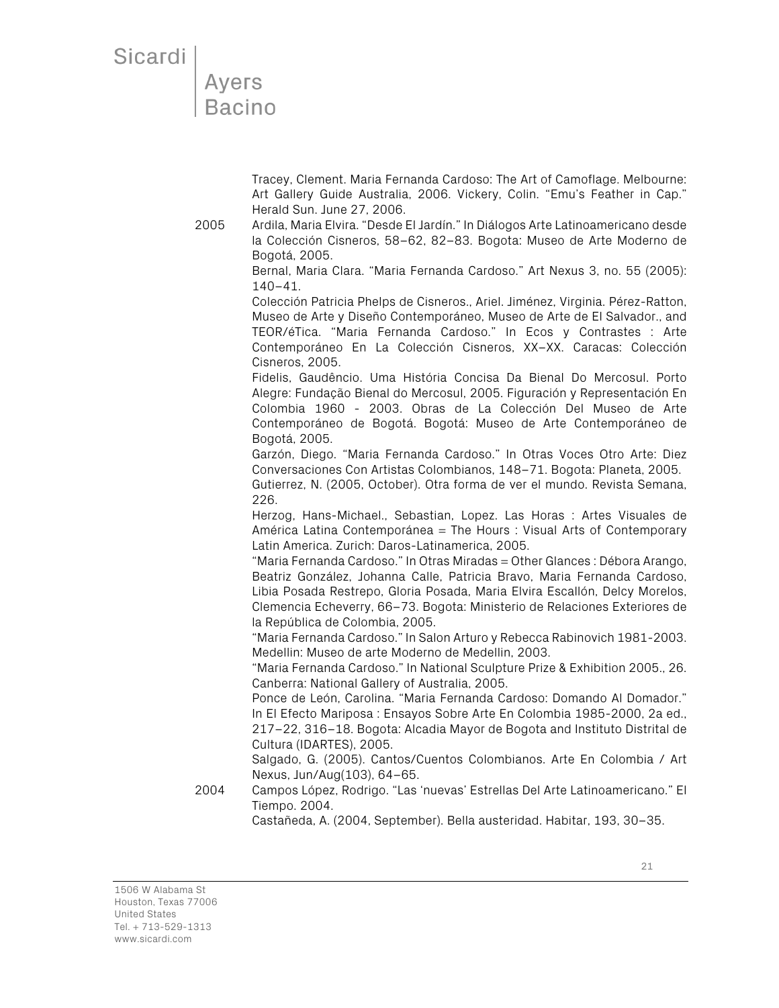Ayers **Bacino** 

> Tracey, Clement. Maria Fernanda Cardoso: The Art of Camoflage. Melbourne: Art Gallery Guide Australia, 2006. Vickery, Colin. "Emu's Feather in Cap." Herald Sun. June 27, 2006.

2005 Ardila, Maria Elvira. "Desde El Jardín." In Diálogos Arte Latinoamericano desde la Colección Cisneros, 58–62, 82–83. Bogota: Museo de Arte Moderno de Bogotá, 2005.

Bernal, Maria Clara. "Maria Fernanda Cardoso." Art Nexus 3, no. 55 (2005): 140–41.

Colección Patricia Phelps de Cisneros., Ariel. Jiménez, Virginia. Pérez-Ratton, Museo de Arte y Diseño Contemporáneo, Museo de Arte de El Salvador., and TEOR/éTica. "Maria Fernanda Cardoso." In Ecos y Contrastes : Arte Contemporáneo En La Colección Cisneros, XX–XX. Caracas: Colección Cisneros, 2005.

Fidelis, Gaudêncio. Uma História Concisa Da Bienal Do Mercosul. Porto Alegre: Fundação Bienal do Mercosul, 2005. Figuración y Representación En Colombia 1960 - 2003. Obras de La Colección Del Museo de Arte Contemporáneo de Bogotá. Bogotá: Museo de Arte Contemporáneo de Bogotá, 2005.

Garzón, Diego. "Maria Fernanda Cardoso." In Otras Voces Otro Arte: Diez Conversaciones Con Artistas Colombianos, 148–71. Bogota: Planeta, 2005.

Gutierrez, N. (2005, October). Otra forma de ver el mundo. Revista Semana, 226.

Herzog, Hans-Michael., Sebastian, Lopez. Las Horas : Artes Visuales de América Latina Contemporánea = The Hours : Visual Arts of Contemporary Latin America. Zurich: Daros-Latinamerica, 2005.

"Maria Fernanda Cardoso." In Otras Miradas = Other Glances : Débora Arango, Beatriz González, Johanna Calle, Patricia Bravo, Maria Fernanda Cardoso, Libia Posada Restrepo, Gloria Posada, Maria Elvira Escallón, Delcy Morelos, Clemencia Echeverry, 66–73. Bogota: Ministerio de Relaciones Exteriores de la República de Colombia, 2005.

"Maria Fernanda Cardoso." In Salon Arturo y Rebecca Rabinovich 1981-2003. Medellin: Museo de arte Moderno de Medellin, 2003.

"Maria Fernanda Cardoso." In National Sculpture Prize & Exhibition 2005., 26. Canberra: National Gallery of Australia, 2005.

Ponce de León, Carolina. "Maria Fernanda Cardoso: Domando Al Domador." In El Efecto Mariposa : Ensayos Sobre Arte En Colombia 1985-2000, 2a ed., 217–22, 316–18. Bogota: Alcadia Mayor de Bogota and Instituto Distrital de Cultura (IDARTES), 2005.

Salgado, G. (2005). Cantos/Cuentos Colombianos. Arte En Colombia / Art Nexus, Jun/Aug(103), 64–65.

2004 Campos López, Rodrigo. "Las 'nuevas' Estrellas Del Arte Latinoamericano." El Tiempo. 2004.

Castañeda, A. (2004, September). Bella austeridad. Habitar, 193, 30–35.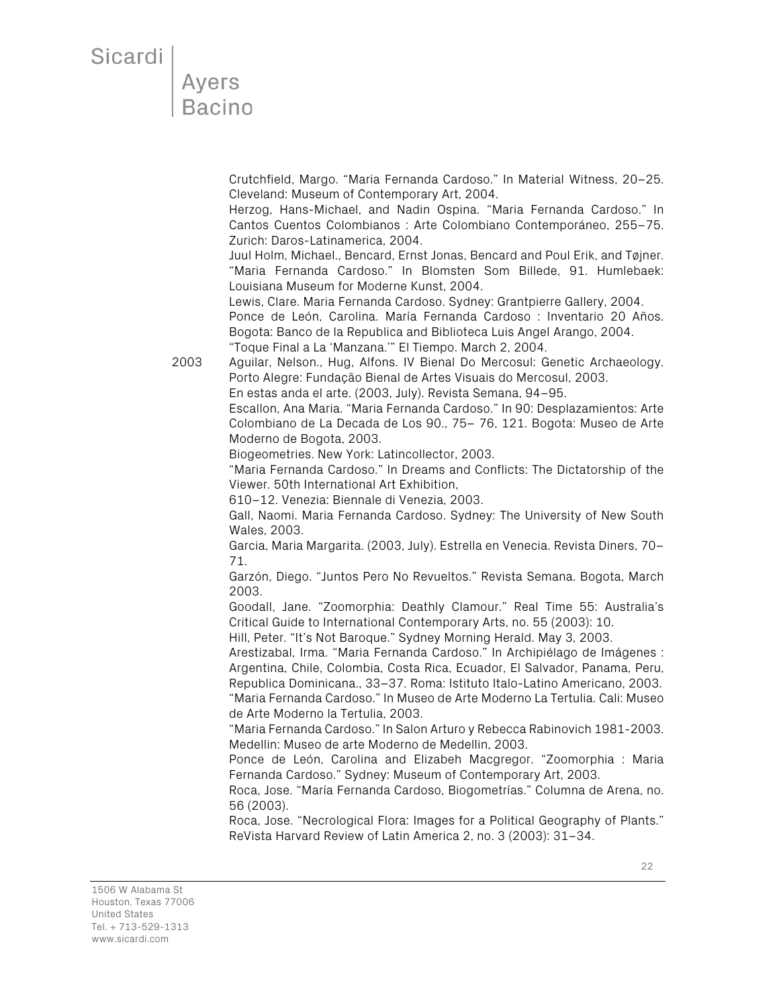Ayers<br>Bacino

Crutchfield, Margo. "Maria Fernanda Cardoso." In Material Witness, 20–25. Cleveland: Museum of Contemporary Art, 2004.

Herzog, Hans-Michael, and Nadin Ospina. "Maria Fernanda Cardoso." In Cantos Cuentos Colombianos : Arte Colombiano Contemporáneo, 255–75. Zurich: Daros-Latinamerica, 2004.

Juul Holm, Michael., Bencard, Ernst Jonas, Bencard and Poul Erik, and Tøjner. "Maria Fernanda Cardoso." In Blomsten Som Billede, 91. Humlebaek: Louisiana Museum for Moderne Kunst, 2004.

Lewis, Clare. Maria Fernanda Cardoso. Sydney: Grantpierre Gallery, 2004. Ponce de León, Carolina. María Fernanda Cardoso : Inventario 20 Años. Bogota: Banco de la Republica and Biblioteca Luis Angel Arango, 2004. "Toque Final a La 'Manzana.'" El Tiempo. March 2, 2004.

2003 Aguilar, Nelson., Hug, Alfons. IV Bienal Do Mercosul: Genetic Archaeology. Porto Alegre: Fundação Bienal de Artes Visuais do Mercosul, 2003. En estas anda el arte. (2003, July). Revista Semana, 94–95.

Escallon, Ana Maria. "Maria Fernanda Cardoso." In 90: Desplazamientos: Arte Colombiano de La Decada de Los 90., 75– 76, 121. Bogota: Museo de Arte Moderno de Bogota, 2003.

Biogeometries. New York: Latincollector, 2003.

"Maria Fernanda Cardoso." In Dreams and Conflicts: The Dictatorship of the Viewer. 50th International Art Exhibition,

610–12. Venezia: Biennale di Venezia, 2003.

Gall, Naomi. Maria Fernanda Cardoso. Sydney: The University of New South Wales, 2003.

Garcia, Maria Margarita. (2003, July). Estrella en Venecia. Revista Diners, 70– 71.

Garzón, Diego. "Juntos Pero No Revueltos." Revista Semana. Bogota, March 2003.

Goodall, Jane. "Zoomorphia: Deathly Clamour." Real Time 55: Australia's Critical Guide to International Contemporary Arts, no. 55 (2003): 10.

Hill, Peter. "It's Not Baroque." Sydney Morning Herald. May 3, 2003.

Arestizabal, Irma. "Maria Fernanda Cardoso." In Archipiélago de Imágenes : Argentina, Chile, Colombia, Costa Rica, Ecuador, El Salvador, Panama, Peru, Republica Dominicana., 33–37. Roma: Istituto Italo-Latino Americano, 2003. "Maria Fernanda Cardoso." In Museo de Arte Moderno La Tertulia. Cali: Museo

de Arte Moderno la Tertulia, 2003.

"Maria Fernanda Cardoso." In Salon Arturo y Rebecca Rabinovich 1981-2003. Medellin: Museo de arte Moderno de Medellin, 2003.

Ponce de León, Carolina and Elizabeh Macgregor. "Zoomorphia : Maria Fernanda Cardoso." Sydney: Museum of Contemporary Art, 2003.

Roca, Jose. "María Fernanda Cardoso, Biogometrías." Columna de Arena, no. 56 (2003).

Roca, Jose. "Necrological Flora: Images for a Political Geography of Plants." ReVista Harvard Review of Latin America 2, no. 3 (2003): 31–34.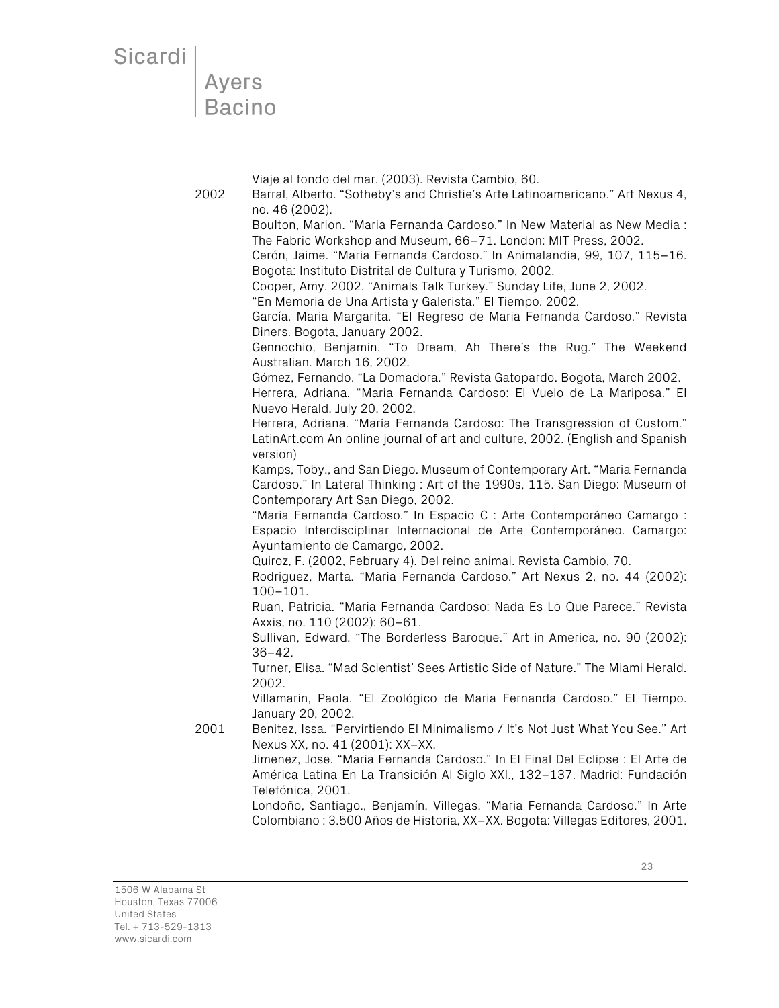```
Sicardi
```

| <b>Ayers</b>  |  |  |
|---------------|--|--|
| <b>Bacino</b> |  |  |

Viaje al fondo del mar. (2003). Revista Cambio, 60.

2002 Barral, Alberto. "Sotheby's and Christie's Arte Latinoamericano." Art Nexus 4, no. 46 (2002).

> Boulton, Marion. "Maria Fernanda Cardoso." In New Material as New Media : The Fabric Workshop and Museum, 66–71. London: MIT Press, 2002.

> Cerón, Jaime. "Maria Fernanda Cardoso." In Animalandia, 99, 107, 115–16. Bogota: Instituto Distrital de Cultura y Turismo, 2002.

Cooper, Amy. 2002. "Animals Talk Turkey." Sunday Life, June 2, 2002.

"En Memoria de Una Artista y Galerista." El Tiempo. 2002.

García, Maria Margarita. "El Regreso de Maria Fernanda Cardoso." Revista Diners. Bogota, January 2002.

Gennochio, Benjamin. "To Dream, Ah There's the Rug." The Weekend Australian. March 16, 2002.

Gómez, Fernando. "La Domadora." Revista Gatopardo. Bogota, March 2002.

Herrera, Adriana. "Maria Fernanda Cardoso: El Vuelo de La Mariposa." El Nuevo Herald. July 20, 2002.

Herrera, Adriana. "María Fernanda Cardoso: The Transgression of Custom." LatinArt.com An online journal of art and culture, 2002. (English and Spanish version)

Kamps, Toby., and San Diego. Museum of Contemporary Art. "Maria Fernanda Cardoso." In Lateral Thinking : Art of the 1990s, 115. San Diego: Museum of Contemporary Art San Diego, 2002.

"Maria Fernanda Cardoso." In Espacio C : Arte Contemporáneo Camargo : Espacio Interdisciplinar Internacional de Arte Contemporáneo. Camargo: Ayuntamiento de Camargo, 2002.

Quiroz, F. (2002, February 4). Del reino animal. Revista Cambio, 70.

Rodriguez, Marta. "Maria Fernanda Cardoso." Art Nexus 2, no. 44 (2002): 100–101.

Ruan, Patricia. "Maria Fernanda Cardoso: Nada Es Lo Que Parece." Revista Axxis, no. 110 (2002): 60–61.

Sullivan, Edward. "The Borderless Baroque." Art in America, no. 90 (2002): 36–42.

Turner, Elisa. "Mad Scientist' Sees Artistic Side of Nature." The Miami Herald. 2002.

Villamarin, Paola. "El Zoológico de Maria Fernanda Cardoso." El Tiempo. January 20, 2002.

2001 Benitez, Issa. "Pervirtiendo El Minimalismo / It's Not Just What You See." Art Nexus XX, no. 41 (2001): XX–XX.

> Jimenez, Jose. "Maria Fernanda Cardoso." In El Final Del Eclipse : El Arte de América Latina En La Transición Al Siglo XXI., 132–137. Madrid: Fundación Telefónica, 2001.

> Londoño, Santiago., Benjamín, Villegas. "Maria Fernanda Cardoso." In Arte Colombiano : 3.500 Años de Historia, XX–XX. Bogota: Villegas Editores, 2001.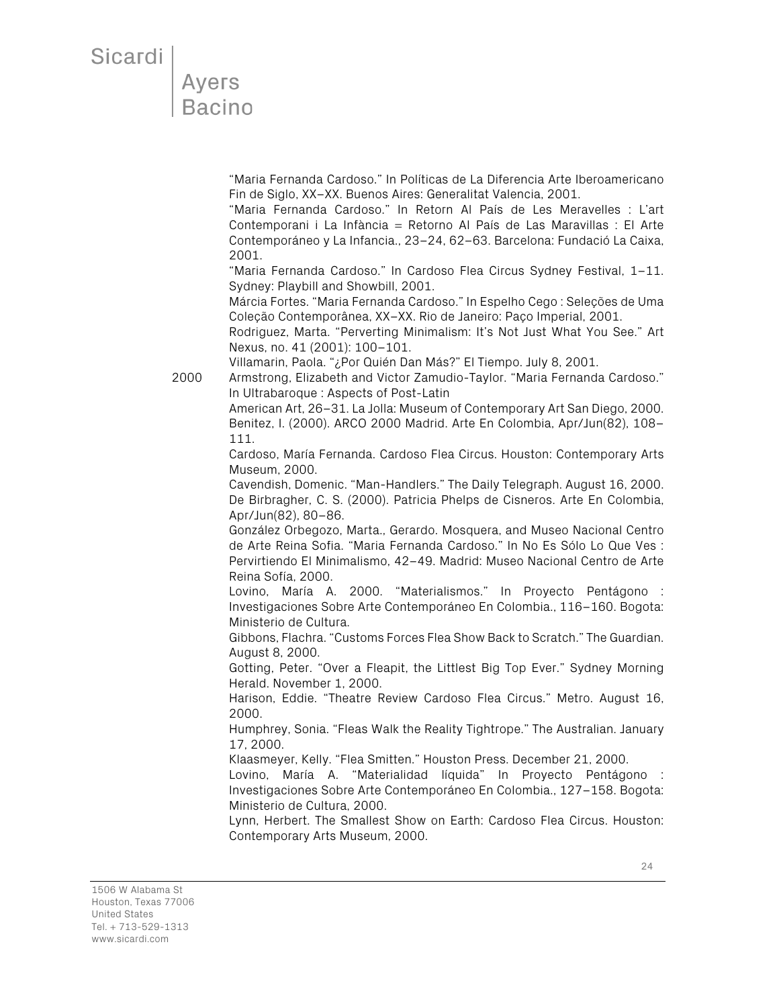**Ayers** Bacino

> "Maria Fernanda Cardoso." In Políticas de La Diferencia Arte Iberoamericano Fin de Siglo, XX–XX. Buenos Aires: Generalitat Valencia, 2001.

> "Maria Fernanda Cardoso." In Retorn Al País de Les Meravelles : L'art Contemporani i La Infància = Retorno Al País de Las Maravillas : El Arte Contemporáneo y La Infancia., 23–24, 62–63. Barcelona: Fundació La Caixa, 2001.

> "Maria Fernanda Cardoso." In Cardoso Flea Circus Sydney Festival, 1–11. Sydney: Playbill and Showbill, 2001.

> Márcia Fortes. "Maria Fernanda Cardoso." In Espelho Cego : Seleções de Uma Coleção Contemporânea, XX–XX. Rio de Janeiro: Paço Imperial, 2001.

> Rodriguez, Marta. "Perverting Minimalism: It's Not Just What You See." Art Nexus, no. 41 (2001): 100–101.

Villamarin, Paola. "¿Por Quién Dan Más?" El Tiempo. July 8, 2001.

2000 Armstrong, Elizabeth and Victor Zamudio-Taylor. "Maria Fernanda Cardoso." In Ultrabaroque : Aspects of Post-Latin

> American Art, 26–31. La Jolla: Museum of Contemporary Art San Diego, 2000. Benitez, I. (2000). ARCO 2000 Madrid. Arte En Colombia, Apr/Jun(82), 108– 111.

> Cardoso, María Fernanda. Cardoso Flea Circus. Houston: Contemporary Arts Museum, 2000.

> Cavendish, Domenic. "Man-Handlers." The Daily Telegraph. August 16, 2000. De Birbragher, C. S. (2000). Patricia Phelps de Cisneros. Arte En Colombia, Apr/Jun(82), 80–86.

> González Orbegozo, Marta., Gerardo. Mosquera, and Museo Nacional Centro de Arte Reina Sofia. "Maria Fernanda Cardoso." In No Es Sólo Lo Que Ves : Pervirtiendo El Minimalismo, 42–49. Madrid: Museo Nacional Centro de Arte Reina Sofía, 2000.

> Lovino, María A. 2000. "Materialismos." In Proyecto Pentágono : Investigaciones Sobre Arte Contemporáneo En Colombia., 116–160. Bogota: Ministerio de Cultura.

> Gibbons, Flachra. "Customs Forces Flea Show Back to Scratch." The Guardian. August 8, 2000.

> Gotting, Peter. "Over a Fleapit, the Littlest Big Top Ever." Sydney Morning Herald. November 1, 2000.

> Harison, Eddie. "Theatre Review Cardoso Flea Circus." Metro. August 16, 2000.

> Humphrey, Sonia. "Fleas Walk the Reality Tightrope." The Australian. January 17, 2000.

Klaasmeyer, Kelly. "Flea Smitten." Houston Press. December 21, 2000.

Lovino, María A. "Materialidad líquida" In Proyecto Pentágono : Investigaciones Sobre Arte Contemporáneo En Colombia., 127–158. Bogota: Ministerio de Cultura, 2000.

Lynn, Herbert. The Smallest Show on Earth: Cardoso Flea Circus. Houston: Contemporary Arts Museum, 2000.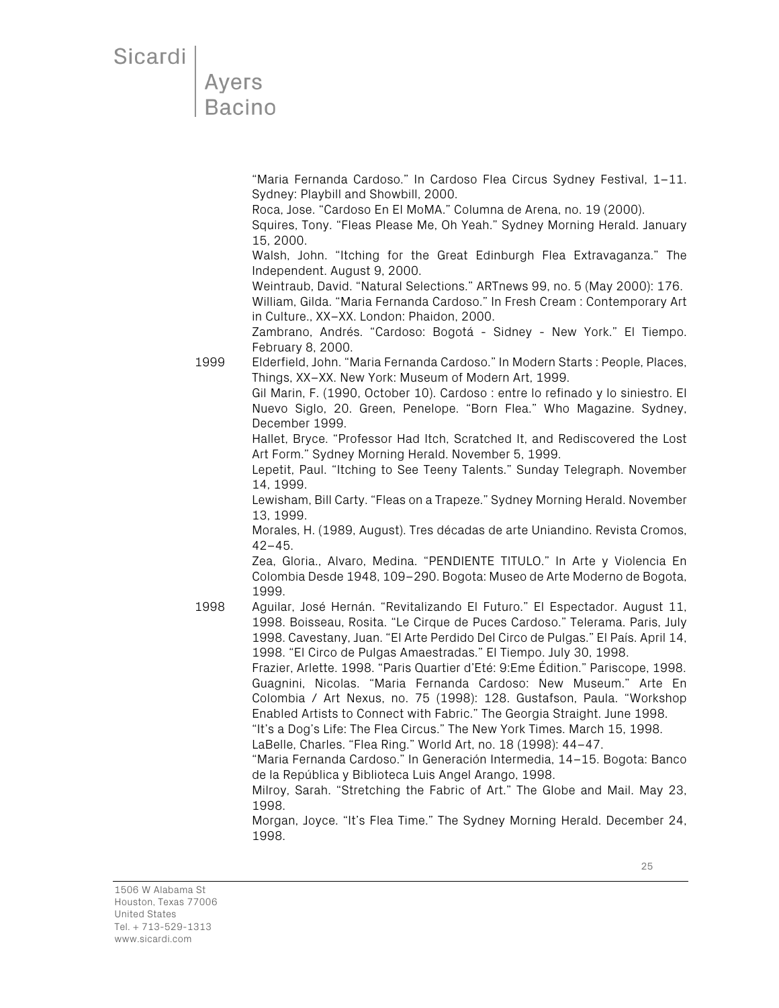### **Ayers Bacino**

"Maria Fernanda Cardoso." In Cardoso Flea Circus Sydney Festival, 1–11. Sydney: Playbill and Showbill, 2000.

Roca, Jose. "Cardoso En El MoMA." Columna de Arena, no. 19 (2000).

Squires, Tony. "Fleas Please Me, Oh Yeah." Sydney Morning Herald. January 15, 2000.

Walsh, John. "Itching for the Great Edinburgh Flea Extravaganza." The Independent. August 9, 2000.

Weintraub, David. "Natural Selections." ARTnews 99, no. 5 (May 2000): 176. William, Gilda. "Maria Fernanda Cardoso." In Fresh Cream : Contemporary Art in Culture., XX–XX. London: Phaidon, 2000.

Zambrano, Andrés. "Cardoso: Bogotá - Sidney - New York." El Tiempo. February 8, 2000.

1999 Elderfield, John. "Maria Fernanda Cardoso." In Modern Starts : People, Places, Things, XX–XX. New York: Museum of Modern Art, 1999.

> Gil Marin, F. (1990, October 10). Cardoso : entre lo refinado y lo siniestro. El Nuevo Siglo, 20. Green, Penelope. "Born Flea." Who Magazine. Sydney, December 1999.

> Hallet, Bryce. "Professor Had Itch, Scratched It, and Rediscovered the Lost Art Form." Sydney Morning Herald. November 5, 1999.

> Lepetit, Paul. "Itching to See Teeny Talents." Sunday Telegraph. November 14, 1999.

> Lewisham, Bill Carty. "Fleas on a Trapeze." Sydney Morning Herald. November 13, 1999.

> Morales, H. (1989, August). Tres décadas de arte Uniandino. Revista Cromos, 42–45.

> Zea, Gloria., Alvaro, Medina. "PENDIENTE TITULO." In Arte y Violencia En Colombia Desde 1948, 109–290. Bogota: Museo de Arte Moderno de Bogota, 1999.

1998 Aguilar, José Hernán. "Revitalizando El Futuro." El Espectador. August 11, 1998. Boisseau, Rosita. "Le Cirque de Puces Cardoso." Telerama. Paris, July 1998. Cavestany, Juan. "El Arte Perdido Del Circo de Pulgas." El País. April 14, 1998. "El Circo de Pulgas Amaestradas." El Tiempo. July 30, 1998.

Frazier, Arlette. 1998. "Paris Quartier d'Eté: 9:Eme Édition." Pariscope, 1998. Guagnini, Nicolas. "Maria Fernanda Cardoso: New Museum." Arte En Colombia / Art Nexus, no. 75 (1998): 128. Gustafson, Paula. "Workshop Enabled Artists to Connect with Fabric." The Georgia Straight. June 1998.

"It's a Dog's Life: The Flea Circus." The New York Times. March 15, 1998.

LaBelle, Charles. "Flea Ring." World Art, no. 18 (1998): 44–47.

"Maria Fernanda Cardoso." In Generación Intermedia, 14–15. Bogota: Banco de la República y Biblioteca Luis Angel Arango, 1998.

Milroy, Sarah. "Stretching the Fabric of Art." The Globe and Mail. May 23, 1998.

Morgan, Joyce. "It's Flea Time." The Sydney Morning Herald. December 24, 1998.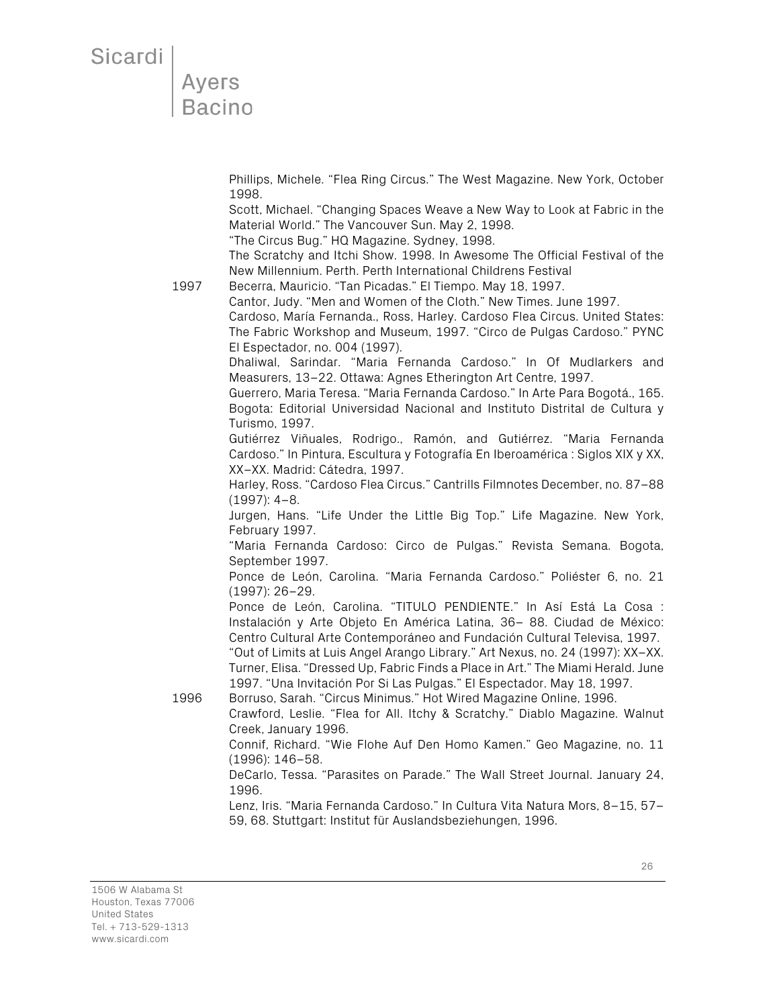## Ayers<br>Bacino

Phillips, Michele. "Flea Ring Circus." The West Magazine. New York, October 1998.

Scott, Michael. "Changing Spaces Weave a New Way to Look at Fabric in the Material World." The Vancouver Sun. May 2, 1998.

"The Circus Bug." HQ Magazine. Sydney, 1998.

The Scratchy and Itchi Show. 1998. In Awesome The Official Festival of the New Millennium. Perth. Perth International Childrens Festival

1997 Becerra, Mauricio. "Tan Picadas." El Tiempo. May 18, 1997.

Cantor, Judy. "Men and Women of the Cloth." New Times. June 1997.

Cardoso, María Fernanda., Ross, Harley. Cardoso Flea Circus. United States: The Fabric Workshop and Museum, 1997. "Circo de Pulgas Cardoso." PYNC El Espectador, no. 004 (1997).

Dhaliwal, Sarindar. "Maria Fernanda Cardoso." In Of Mudlarkers and Measurers, 13–22. Ottawa: Agnes Etherington Art Centre, 1997.

Guerrero, Maria Teresa. "Maria Fernanda Cardoso." In Arte Para Bogotá., 165. Bogota: Editorial Universidad Nacional and Instituto Distrital de Cultura y Turismo, 1997.

Gutiérrez Viñuales, Rodrigo., Ramón, and Gutiérrez. "Maria Fernanda Cardoso." In Pintura, Escultura y Fotografía En Iberoamérica : Siglos XIX y XX, XX–XX. Madrid: Cátedra, 1997.

Harley, Ross. "Cardoso Flea Circus." Cantrills Filmnotes December, no. 87–88 (1997): 4–8.

Jurgen, Hans. "Life Under the Little Big Top." Life Magazine. New York, February 1997.

"Maria Fernanda Cardoso: Circo de Pulgas." Revista Semana. Bogota, September 1997.

Ponce de León, Carolina. "Maria Fernanda Cardoso." Poliéster 6, no. 21 (1997): 26–29.

Ponce de León, Carolina. "TITULO PENDIENTE." In Así Está La Cosa : Instalación y Arte Objeto En América Latina, 36– 88. Ciudad de México: Centro Cultural Arte Contemporáneo and Fundación Cultural Televisa, 1997. "Out of Limits at Luis Angel Arango Library." Art Nexus, no. 24 (1997): XX–XX. Turner, Elisa. "Dressed Up, Fabric Finds a Place in Art." The Miami Herald. June

1997. "Una Invitación Por Si Las Pulgas." El Espectador. May 18, 1997.

1996 Borruso, Sarah. "Circus Minimus." Hot Wired Magazine Online, 1996. Crawford, Leslie. "Flea for All. Itchy & Scratchy." Diablo Magazine. Walnut

Creek, January 1996.

Connif, Richard. "Wie Flohe Auf Den Homo Kamen." Geo Magazine, no. 11 (1996): 146–58.

DeCarlo, Tessa. "Parasites on Parade." The Wall Street Journal. January 24, 1996.

Lenz, Iris. "Maria Fernanda Cardoso." In Cultura Vita Natura Mors, 8–15, 57– 59, 68. Stuttgart: Institut für Auslandsbeziehungen, 1996.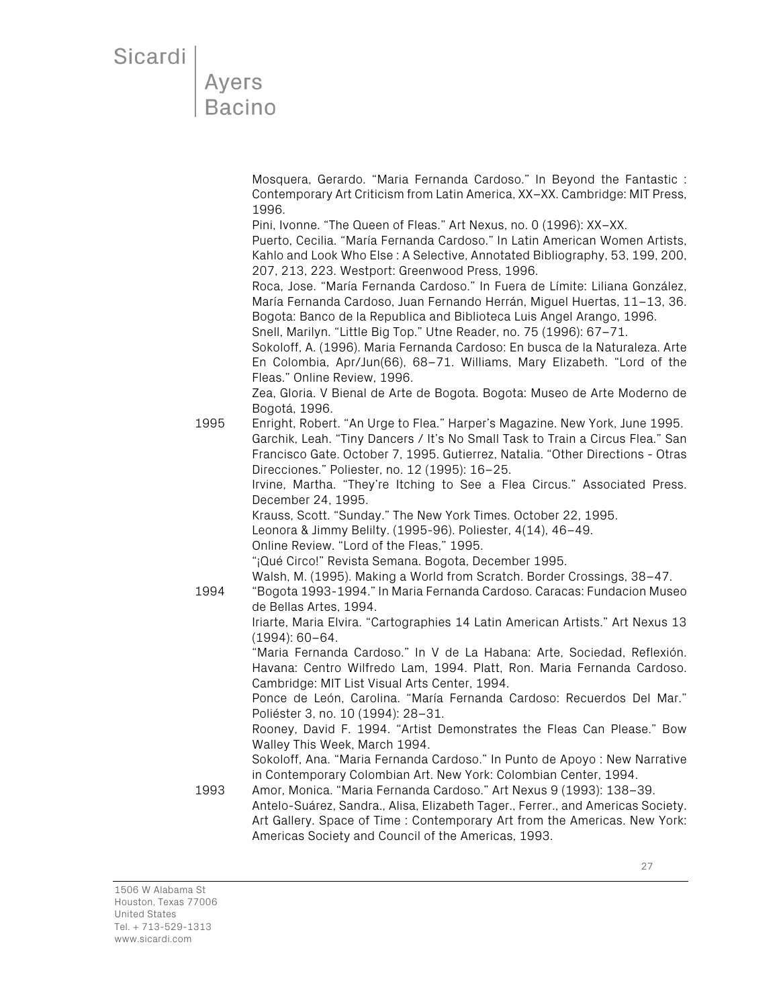#### Ayers **Bacino**

Mosquera, Gerardo. "Maria Fernanda Cardoso." In Beyond the Fantastic : Contemporary Art Criticism from Latin America, XX–XX. Cambridge: MIT Press, 1996.

Pini, Ivonne. "The Queen of Fleas." Art Nexus, no. 0 (1996): XX–XX.

Puerto, Cecilia. "María Fernanda Cardoso." In Latin American Women Artists, Kahlo and Look Who Else : A Selective, Annotated Bibliography, 53, 199, 200, 207, 213, 223. Westport: Greenwood Press, 1996.

Roca, Jose. "María Fernanda Cardoso." In Fuera de Límite: Liliana González, María Fernanda Cardoso, Juan Fernando Herrán, Miguel Huertas, 11–13, 36. Bogota: Banco de la Republica and Biblioteca Luis Angel Arango, 1996. Snell, Marilyn. "Little Big Top." Utne Reader, no. 75 (1996): 67–71.

Sokoloff, A. (1996). Maria Fernanda Cardoso: En busca de la Naturaleza. Arte En Colombia, Apr/Jun(66), 68–71. Williams, Mary Elizabeth. "Lord of the Fleas." Online Review, 1996.

Zea, Gloria. V Bienal de Arte de Bogota. Bogota: Museo de Arte Moderno de Bogotá, 1996.

- 1995 Enright, Robert. "An Urge to Flea." Harper's Magazine. New York, June 1995. Garchik, Leah. "Tiny Dancers / It's No Small Task to Train a Circus Flea." San Francisco Gate. October 7, 1995. Gutierrez, Natalia. "Other Directions - Otras Direcciones." Poliester, no. 12 (1995): 16–25. Irvine, Martha. "They're Itching to See a Flea Circus." Associated Press. December 24, 1995. Krauss, Scott. "Sunday." The New York Times. October 22, 1995. Leonora & Jimmy Belilty. (1995-96). Poliester, 4(14), 46–49. Online Review. "Lord of the Fleas," 1995. "¡Qué Circo!" Revista Semana. Bogota, December 1995. Walsh, M. (1995). Making a World from Scratch. Border Crossings, 38–47. 1994 "Bogota 1993-1994." In Maria Fernanda Cardoso. Caracas: Fundacion Museo de Bellas Artes, 1994. Iriarte, Maria Elvira. "Cartographies 14 Latin American Artists." Art Nexus 13 (1994): 60–64. "Maria Fernanda Cardoso." In V de La Habana: Arte, Sociedad, Reflexión. Havana: Centro Wilfredo Lam, 1994. Platt, Ron. Maria Fernanda Cardoso. Cambridge: MIT List Visual Arts Center, 1994. Ponce de León, Carolina. "María Fernanda Cardoso: Recuerdos Del Mar." Poliéster 3, no. 10 (1994): 28–31. Rooney, David F. 1994. "Artist Demonstrates the Fleas Can Please." Bow Walley This Week, March 1994. Sokoloff, Ana. "Maria Fernanda Cardoso." In Punto de Apoyo : New Narrative
- in Contemporary Colombian Art. New York: Colombian Center, 1994. 1993 Amor, Monica. "Maria Fernanda Cardoso." Art Nexus 9 (1993): 138–39. Antelo-Suárez, Sandra., Alisa, Elizabeth Tager., Ferrer., and Americas Society. Art Gallery. Space of Time : Contemporary Art from the Americas. New York: Americas Society and Council of the Americas, 1993.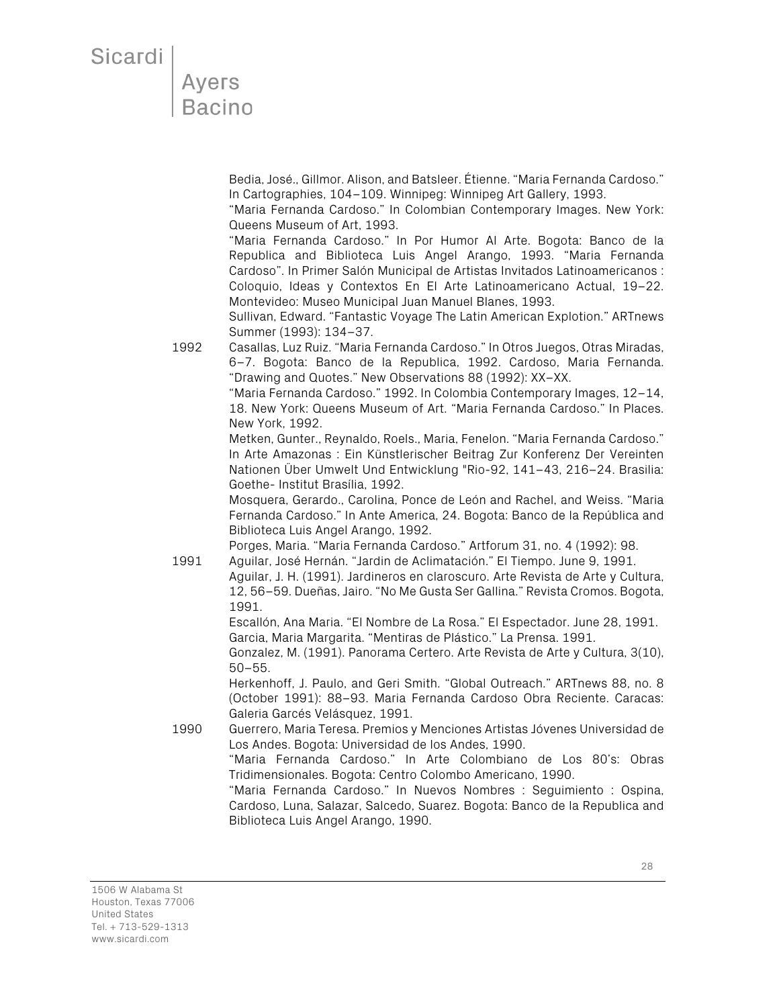Ayers<br>Bacino

Bedia, José., Gillmor. Alison, and Batsleer. Étienne. "Maria Fernanda Cardoso." In Cartographies, 104–109. Winnipeg: Winnipeg Art Gallery, 1993.

"Maria Fernanda Cardoso." In Colombian Contemporary Images. New York: Queens Museum of Art, 1993.

"Maria Fernanda Cardoso." In Por Humor Al Arte. Bogota: Banco de la Republica and Biblioteca Luis Angel Arango, 1993. "Maria Fernanda Cardoso". In Primer Salón Municipal de Artistas Invitados Latinoamericanos : Coloquio, Ideas y Contextos En El Arte Latinoamericano Actual, 19–22. Montevideo: Museo Municipal Juan Manuel Blanes, 1993.

Sullivan, Edward. "Fantastic Voyage The Latin American Explotion." ARTnews Summer (1993): 134–37.

1992 Casallas, Luz Ruiz. "Maria Fernanda Cardoso." In Otros Juegos, Otras Miradas, 6–7. Bogota: Banco de la Republica, 1992. Cardoso, Maria Fernanda. "Drawing and Quotes." New Observations 88 (1992): XX–XX.

> "Maria Fernanda Cardoso." 1992. In Colombia Contemporary Images, 12–14, 18. New York: Queens Museum of Art. "Maria Fernanda Cardoso." In Places. New York, 1992.

> Metken, Gunter., Reynaldo, Roels., Maria, Fenelon. "Maria Fernanda Cardoso." In Arte Amazonas : Ein Künstlerischer Beitrag Zur Konferenz Der Vereinten Nationen Über Umwelt Und Entwicklung "Rio-92, 141–43, 216–24. Brasilia: Goethe- Institut Brasília, 1992.

> Mosquera, Gerardo., Carolina, Ponce de León and Rachel, and Weiss. "Maria Fernanda Cardoso." In Ante America, 24. Bogota: Banco de la República and Biblioteca Luis Angel Arango, 1992.

Porges, Maria. "Maria Fernanda Cardoso." Artforum 31, no. 4 (1992): 98. 1991 Aguilar, José Hernán. "Jardin de Aclimatación." El Tiempo. June 9, 1991.

Aguilar, J. H. (1991). Jardineros en claroscuro. Arte Revista de Arte y Cultura, 12, 56–59. Dueñas, Jairo. "No Me Gusta Ser Gallina." Revista Cromos. Bogota, 1991.

Escallón, Ana Maria. "El Nombre de La Rosa." El Espectador. June 28, 1991. Garcia, Maria Margarita. "Mentiras de Plástico." La Prensa. 1991.

Gonzalez, M. (1991). Panorama Certero. Arte Revista de Arte y Cultura, 3(10), 50–55.

Herkenhoff, J. Paulo, and Geri Smith. "Global Outreach." ARTnews 88, no. 8 (October 1991): 88–93. Maria Fernanda Cardoso Obra Reciente. Caracas: Galeria Garcés Velásquez, 1991.

1990 Guerrero, Maria Teresa. Premios y Menciones Artistas Jóvenes Universidad de Los Andes. Bogota: Universidad de los Andes, 1990.

"Maria Fernanda Cardoso." In Arte Colombiano de Los 80's: Obras Tridimensionales. Bogota: Centro Colombo Americano, 1990.

"Maria Fernanda Cardoso." In Nuevos Nombres : Seguimiento : Ospina, Cardoso, Luna, Salazar, Salcedo, Suarez. Bogota: Banco de la Republica and Biblioteca Luis Angel Arango, 1990.

1506 W Alabama St Houston, Texas 77006 United States Tel. + 713-529-1313 www.sicardi.com